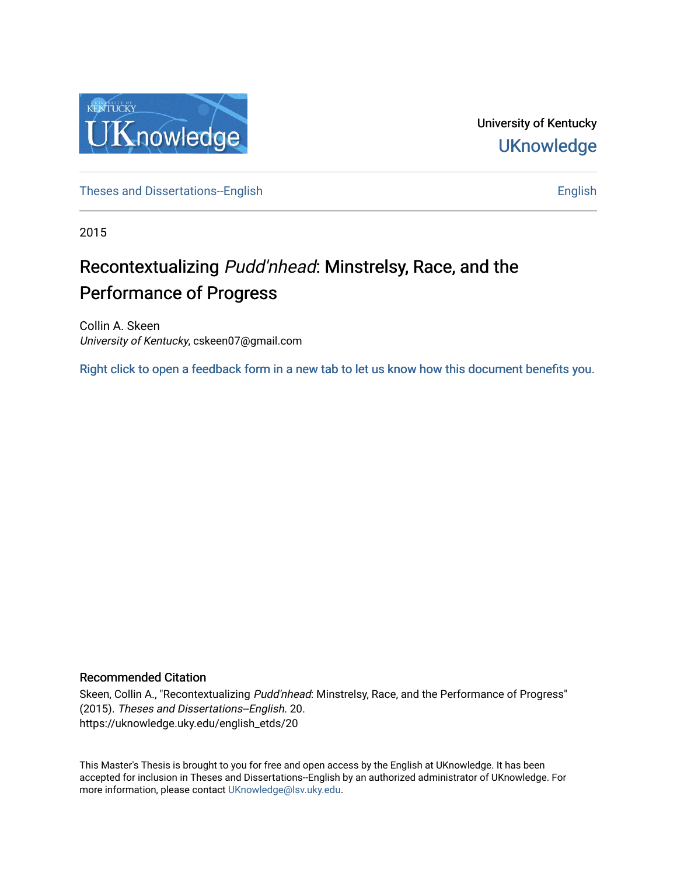

University of Kentucky **UKnowledge** 

[Theses and Dissertations--English](https://uknowledge.uky.edu/english_etds) [English](https://uknowledge.uky.edu/english) English English English

2015

# Recontextualizing Pudd'nhead: Minstrelsy, Race, and the Performance of Progress

Collin A. Skeen University of Kentucky, cskeen07@gmail.com

[Right click to open a feedback form in a new tab to let us know how this document benefits you.](https://uky.az1.qualtrics.com/jfe/form/SV_9mq8fx2GnONRfz7)

### Recommended Citation

Skeen, Collin A., "Recontextualizing Pudd'nhead: Minstrelsy, Race, and the Performance of Progress" (2015). Theses and Dissertations--English. 20. https://uknowledge.uky.edu/english\_etds/20

This Master's Thesis is brought to you for free and open access by the English at UKnowledge. It has been accepted for inclusion in Theses and Dissertations--English by an authorized administrator of UKnowledge. For more information, please contact [UKnowledge@lsv.uky.edu](mailto:UKnowledge@lsv.uky.edu).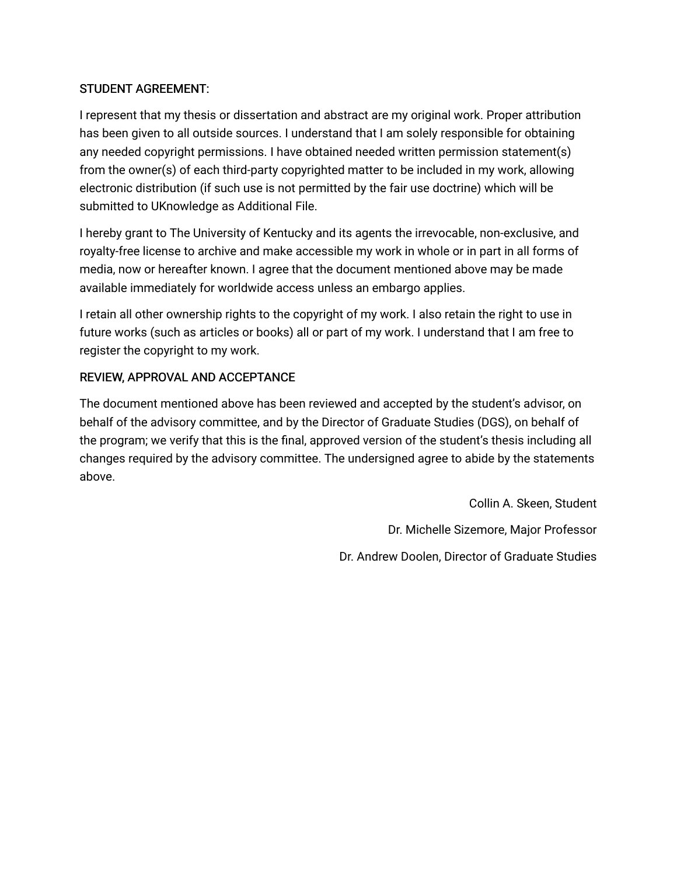## STUDENT AGREEMENT:

I represent that my thesis or dissertation and abstract are my original work. Proper attribution has been given to all outside sources. I understand that I am solely responsible for obtaining any needed copyright permissions. I have obtained needed written permission statement(s) from the owner(s) of each third-party copyrighted matter to be included in my work, allowing electronic distribution (if such use is not permitted by the fair use doctrine) which will be submitted to UKnowledge as Additional File.

I hereby grant to The University of Kentucky and its agents the irrevocable, non-exclusive, and royalty-free license to archive and make accessible my work in whole or in part in all forms of media, now or hereafter known. I agree that the document mentioned above may be made available immediately for worldwide access unless an embargo applies.

I retain all other ownership rights to the copyright of my work. I also retain the right to use in future works (such as articles or books) all or part of my work. I understand that I am free to register the copyright to my work.

## REVIEW, APPROVAL AND ACCEPTANCE

The document mentioned above has been reviewed and accepted by the student's advisor, on behalf of the advisory committee, and by the Director of Graduate Studies (DGS), on behalf of the program; we verify that this is the final, approved version of the student's thesis including all changes required by the advisory committee. The undersigned agree to abide by the statements above.

> Collin A. Skeen, Student Dr. Michelle Sizemore, Major Professor Dr. Andrew Doolen, Director of Graduate Studies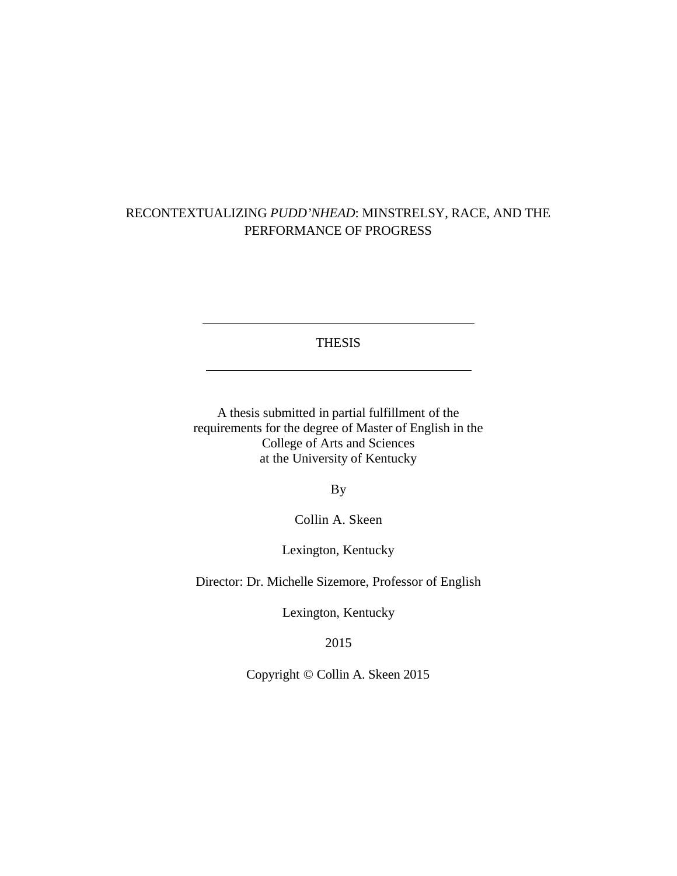# RECONTEXTUALIZING *PUDD'NHEAD*: MINSTRELSY, RACE, AND THE PERFORMANCE OF PROGRESS

THESIS

A thesis submitted in partial fulfillment of the requirements for the degree of Master of English in the College of Arts and Sciences at the University of Kentucky

By

Collin A. Skeen

Lexington, Kentucky

Director: Dr. Michelle Sizemore, Professor of English

Lexington, Kentucky

2015

Copyright © Collin A. Skeen 2015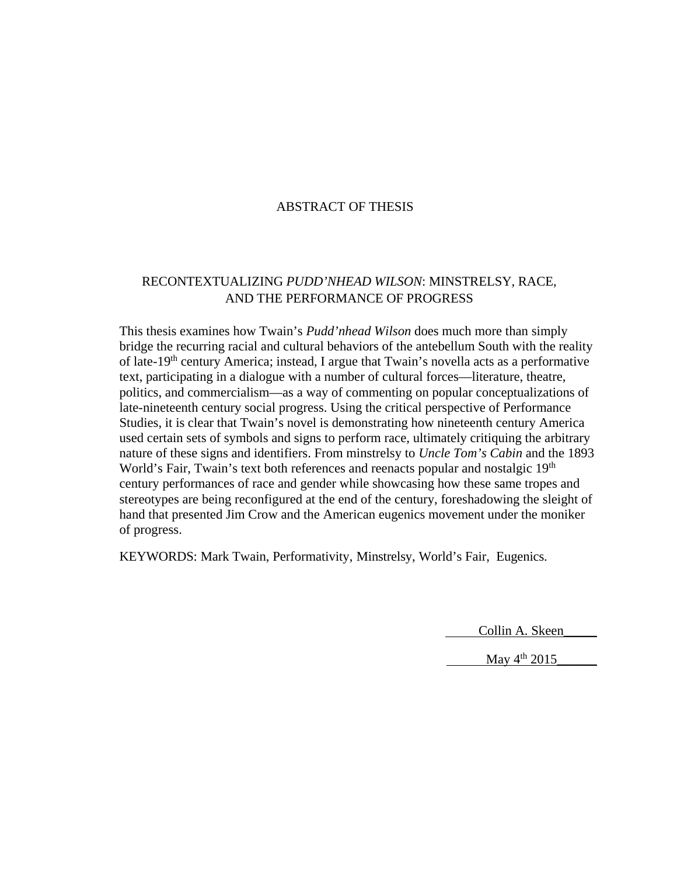### ABSTRACT OF THESIS

### RECONTEXTUALIZING *PUDD'NHEAD WILSON*: MINSTRELSY, RACE, AND THE PERFORMANCE OF PROGRESS

This thesis examines how Twain's *Pudd'nhead Wilson* does much more than simply bridge the recurring racial and cultural behaviors of the antebellum South with the reality of late-19th century America; instead, I argue that Twain's novella acts as a performative text, participating in a dialogue with a number of cultural forces—literature, theatre, politics, and commercialism—as a way of commenting on popular conceptualizations of late-nineteenth century social progress. Using the critical perspective of Performance Studies, it is clear that Twain's novel is demonstrating how nineteenth century America used certain sets of symbols and signs to perform race, ultimately critiquing the arbitrary nature of these signs and identifiers. From minstrelsy to *Uncle Tom's Cabin* and the 1893 World's Fair, Twain's text both references and reenacts popular and nostalgic  $19<sup>th</sup>$ century performances of race and gender while showcasing how these same tropes and stereotypes are being reconfigured at the end of the century, foreshadowing the sleight of hand that presented Jim Crow and the American eugenics movement under the moniker of progress.

KEYWORDS: Mark Twain, Performativity, Minstrelsy, World's Fair, Eugenics.

Collin A. Skeen\_\_\_\_\_

May  $4^{th}$  2015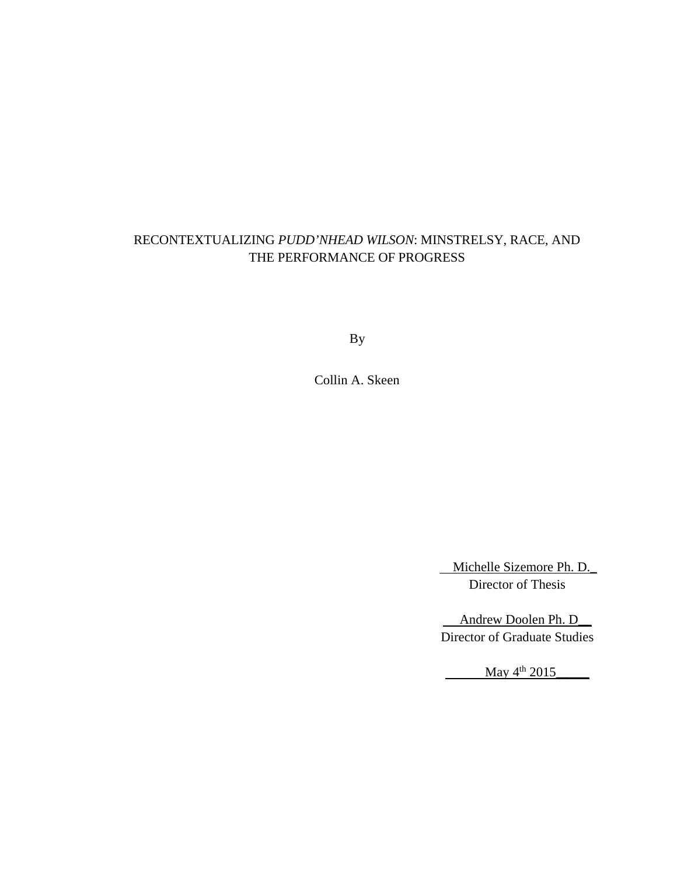# RECONTEXTUALIZING *PUDD'NHEAD WILSON*: MINSTRELSY, RACE, AND THE PERFORMANCE OF PROGRESS

By

Collin A. Skeen

 Michelle Sizemore Ph. D.\_ Director of Thesis

 Andrew Doolen Ph. D\_\_ Director of Graduate Studies

 $\frac{\text{May } 4^{\text{th}} \cdot 2015}{\text{May } 4^{\text{th}} \cdot 2015}$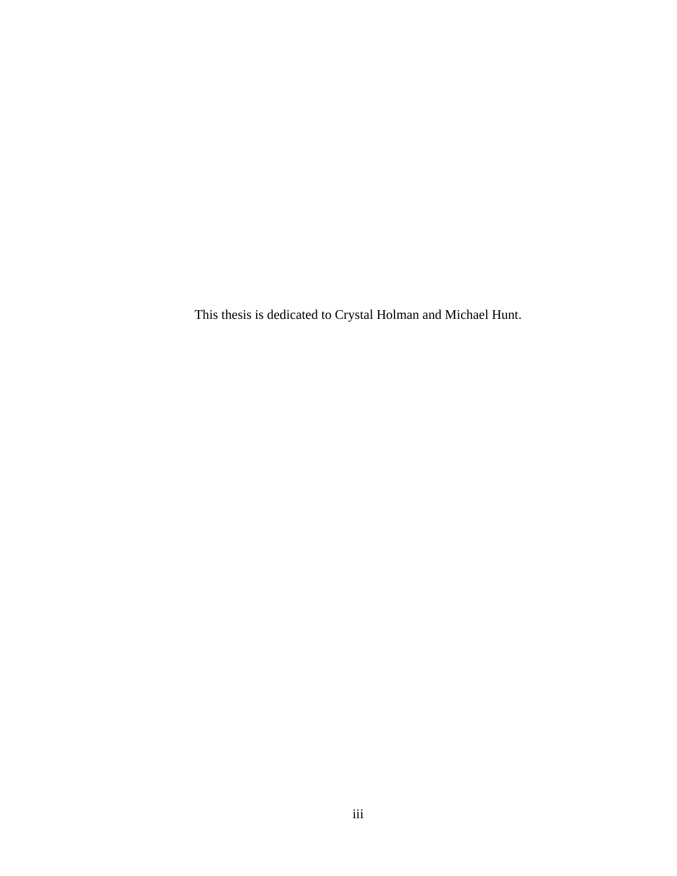This thesis is dedicated to Crystal Holman and Michael Hunt.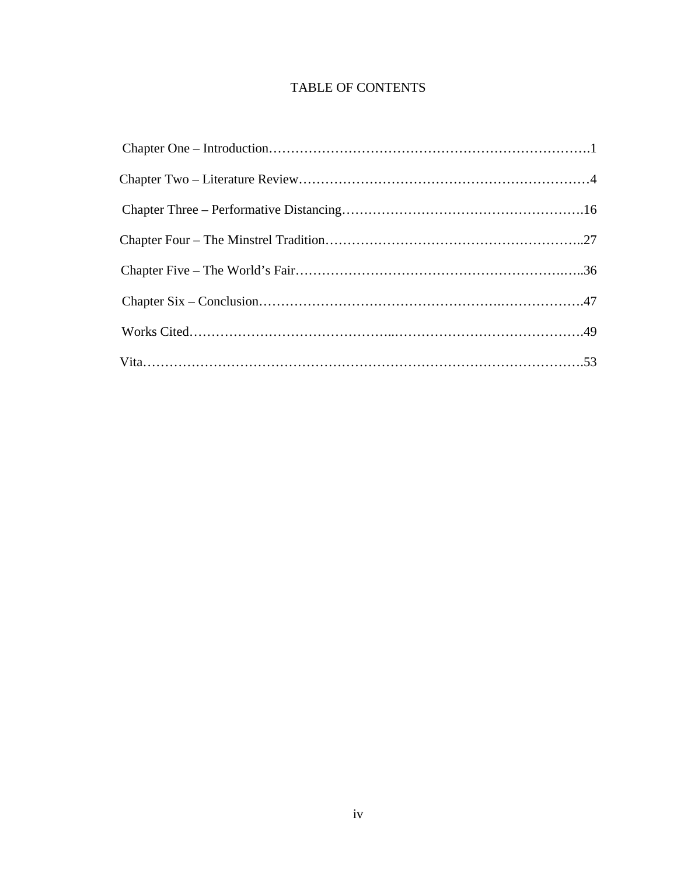# TABLE OF CONTENTS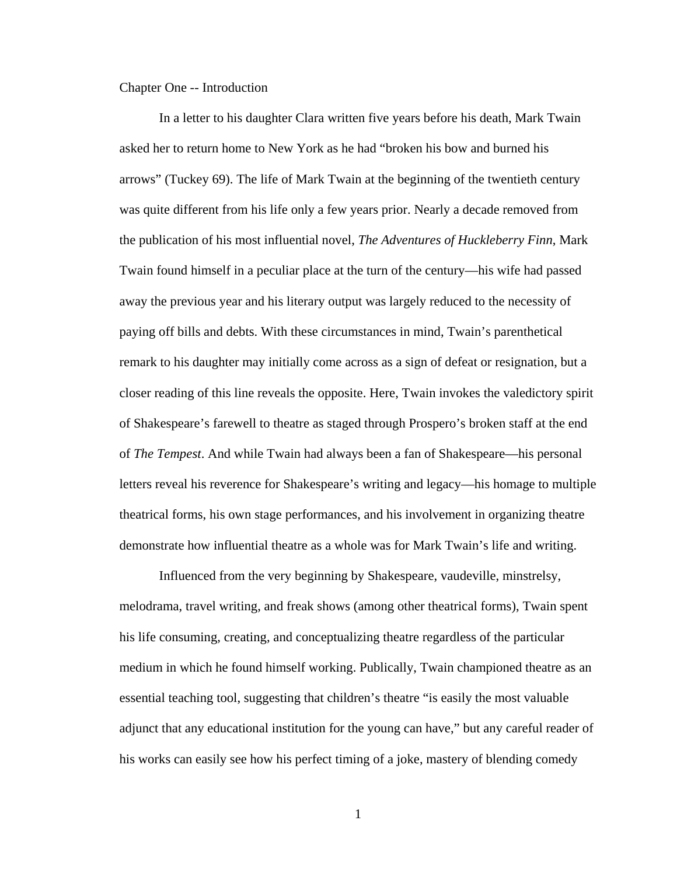Chapter One -- Introduction

In a letter to his daughter Clara written five years before his death, Mark Twain asked her to return home to New York as he had "broken his bow and burned his arrows" (Tuckey 69). The life of Mark Twain at the beginning of the twentieth century was quite different from his life only a few years prior. Nearly a decade removed from the publication of his most influential novel, *The Adventures of Huckleberry Finn*, Mark Twain found himself in a peculiar place at the turn of the century—his wife had passed away the previous year and his literary output was largely reduced to the necessity of paying off bills and debts. With these circumstances in mind, Twain's parenthetical remark to his daughter may initially come across as a sign of defeat or resignation, but a closer reading of this line reveals the opposite. Here, Twain invokes the valedictory spirit of Shakespeare's farewell to theatre as staged through Prospero's broken staff at the end of *The Tempest*. And while Twain had always been a fan of Shakespeare—his personal letters reveal his reverence for Shakespeare's writing and legacy—his homage to multiple theatrical forms, his own stage performances, and his involvement in organizing theatre demonstrate how influential theatre as a whole was for Mark Twain's life and writing.

Influenced from the very beginning by Shakespeare, vaudeville, minstrelsy, melodrama, travel writing, and freak shows (among other theatrical forms), Twain spent his life consuming, creating, and conceptualizing theatre regardless of the particular medium in which he found himself working. Publically, Twain championed theatre as an essential teaching tool, suggesting that children's theatre "is easily the most valuable adjunct that any educational institution for the young can have," but any careful reader of his works can easily see how his perfect timing of a joke, mastery of blending comedy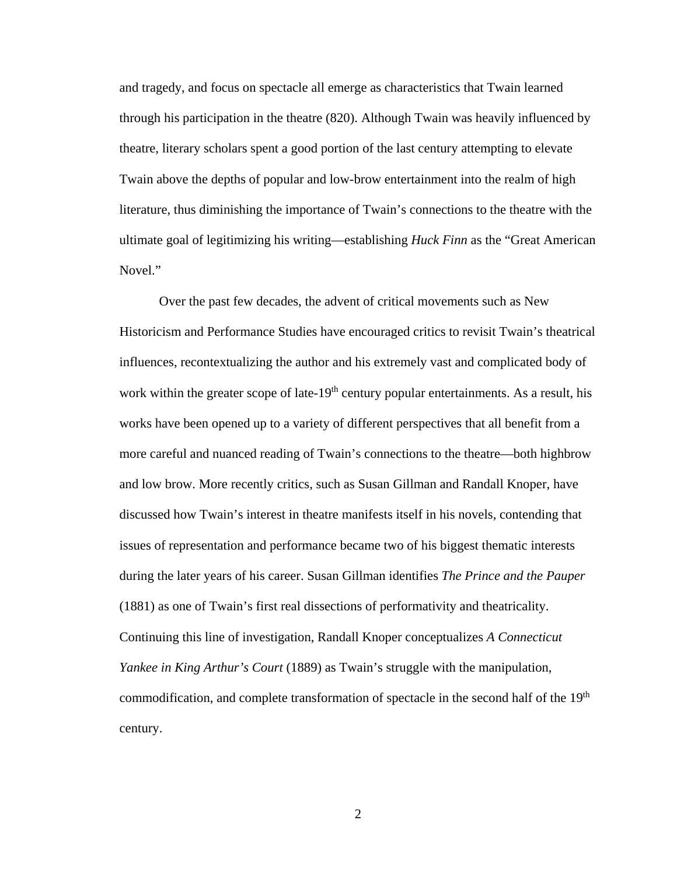and tragedy, and focus on spectacle all emerge as characteristics that Twain learned through his participation in the theatre (820). Although Twain was heavily influenced by theatre, literary scholars spent a good portion of the last century attempting to elevate Twain above the depths of popular and low-brow entertainment into the realm of high literature, thus diminishing the importance of Twain's connections to the theatre with the ultimate goal of legitimizing his writing—establishing *Huck Finn* as the "Great American Novel."

Over the past few decades, the advent of critical movements such as New Historicism and Performance Studies have encouraged critics to revisit Twain's theatrical influences, recontextualizing the author and his extremely vast and complicated body of work within the greater scope of late-19<sup>th</sup> century popular entertainments. As a result, his works have been opened up to a variety of different perspectives that all benefit from a more careful and nuanced reading of Twain's connections to the theatre—both highbrow and low brow. More recently critics, such as Susan Gillman and Randall Knoper, have discussed how Twain's interest in theatre manifests itself in his novels, contending that issues of representation and performance became two of his biggest thematic interests during the later years of his career. Susan Gillman identifies *The Prince and the Pauper*  (1881) as one of Twain's first real dissections of performativity and theatricality. Continuing this line of investigation, Randall Knoper conceptualizes *A Connecticut Yankee in King Arthur's Court* (1889) as Twain's struggle with the manipulation, commodification, and complete transformation of spectacle in the second half of the 19<sup>th</sup> century.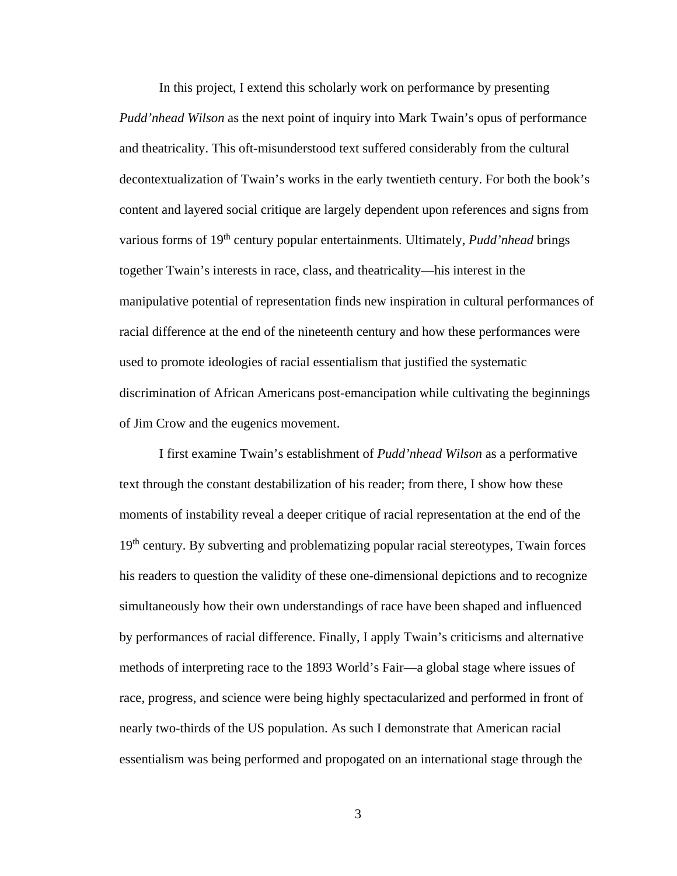In this project, I extend this scholarly work on performance by presenting *Pudd'nhead Wilson* as the next point of inquiry into Mark Twain's opus of performance and theatricality. This oft-misunderstood text suffered considerably from the cultural decontextualization of Twain's works in the early twentieth century. For both the book's content and layered social critique are largely dependent upon references and signs from various forms of 19<sup>th</sup> century popular entertainments. Ultimately, *Pudd'nhead* brings together Twain's interests in race, class, and theatricality—his interest in the manipulative potential of representation finds new inspiration in cultural performances of racial difference at the end of the nineteenth century and how these performances were used to promote ideologies of racial essentialism that justified the systematic discrimination of African Americans post-emancipation while cultivating the beginnings of Jim Crow and the eugenics movement.

I first examine Twain's establishment of *Pudd'nhead Wilson* as a performative text through the constant destabilization of his reader; from there, I show how these moments of instability reveal a deeper critique of racial representation at the end of the 19<sup>th</sup> century. By subverting and problematizing popular racial stereotypes, Twain forces his readers to question the validity of these one-dimensional depictions and to recognize simultaneously how their own understandings of race have been shaped and influenced by performances of racial difference. Finally, I apply Twain's criticisms and alternative methods of interpreting race to the 1893 World's Fair—a global stage where issues of race, progress, and science were being highly spectacularized and performed in front of nearly two-thirds of the US population. As such I demonstrate that American racial essentialism was being performed and propogated on an international stage through the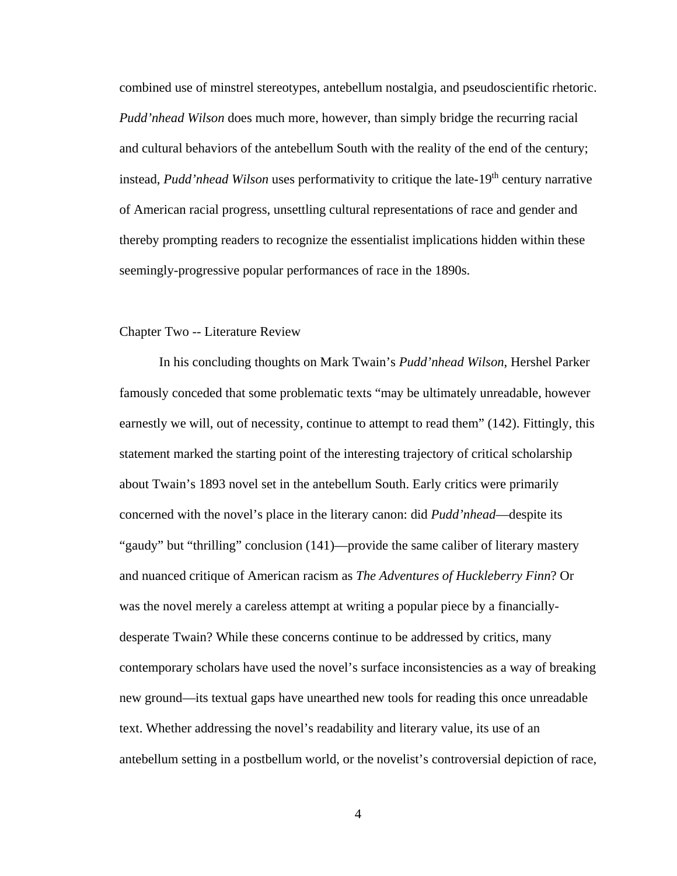combined use of minstrel stereotypes, antebellum nostalgia, and pseudoscientific rhetoric. *Pudd'nhead Wilson* does much more, however, than simply bridge the recurring racial and cultural behaviors of the antebellum South with the reality of the end of the century; instead, *Pudd'nhead Wilson* uses performativity to critique the late-19<sup>th</sup> century narrative of American racial progress, unsettling cultural representations of race and gender and thereby prompting readers to recognize the essentialist implications hidden within these seemingly-progressive popular performances of race in the 1890s.

### Chapter Two -- Literature Review

In his concluding thoughts on Mark Twain's *Pudd'nhead Wilson*, Hershel Parker famously conceded that some problematic texts "may be ultimately unreadable, however earnestly we will, out of necessity, continue to attempt to read them" (142). Fittingly, this statement marked the starting point of the interesting trajectory of critical scholarship about Twain's 1893 novel set in the antebellum South. Early critics were primarily concerned with the novel's place in the literary canon: did *Pudd'nhead*—despite its "gaudy" but "thrilling" conclusion (141)—provide the same caliber of literary mastery and nuanced critique of American racism as *The Adventures of Huckleberry Finn*? Or was the novel merely a careless attempt at writing a popular piece by a financiallydesperate Twain? While these concerns continue to be addressed by critics, many contemporary scholars have used the novel's surface inconsistencies as a way of breaking new ground—its textual gaps have unearthed new tools for reading this once unreadable text. Whether addressing the novel's readability and literary value, its use of an antebellum setting in a postbellum world, or the novelist's controversial depiction of race,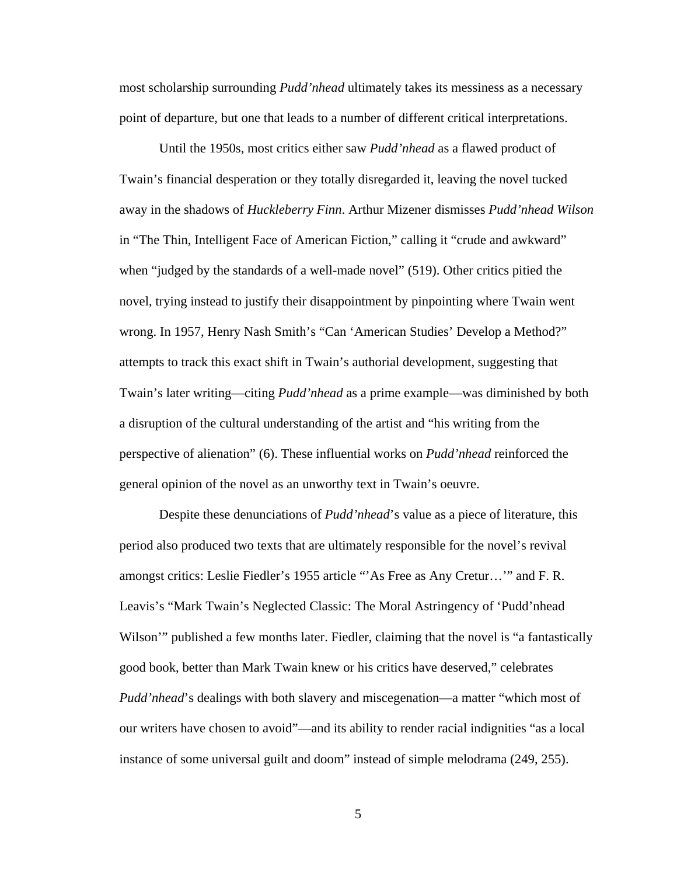most scholarship surrounding *Pudd'nhead* ultimately takes its messiness as a necessary point of departure, but one that leads to a number of different critical interpretations.

Until the 1950s, most critics either saw *Pudd'nhead* as a flawed product of Twain's financial desperation or they totally disregarded it, leaving the novel tucked away in the shadows of *Huckleberry Finn*. Arthur Mizener dismisses *Pudd'nhead Wilson* in "The Thin, Intelligent Face of American Fiction," calling it "crude and awkward" when "judged by the standards of a well-made novel" (519). Other critics pitied the novel, trying instead to justify their disappointment by pinpointing where Twain went wrong. In 1957, Henry Nash Smith's "Can 'American Studies' Develop a Method?" attempts to track this exact shift in Twain's authorial development, suggesting that Twain's later writing—citing *Pudd'nhead* as a prime example—was diminished by both a disruption of the cultural understanding of the artist and "his writing from the perspective of alienation" (6). These influential works on *Pudd'nhead* reinforced the general opinion of the novel as an unworthy text in Twain's oeuvre.

Despite these denunciations of *Pudd'nhead*'s value as a piece of literature, this period also produced two texts that are ultimately responsible for the novel's revival amongst critics: Leslie Fiedler's 1955 article "'As Free as Any Cretur…'" and F. R. Leavis's "Mark Twain's Neglected Classic: The Moral Astringency of 'Pudd'nhead Wilson'" published a few months later. Fiedler, claiming that the novel is "a fantastically good book, better than Mark Twain knew or his critics have deserved," celebrates *Pudd'nhead*'s dealings with both slavery and miscegenation—a matter "which most of our writers have chosen to avoid"—and its ability to render racial indignities "as a local instance of some universal guilt and doom" instead of simple melodrama (249, 255).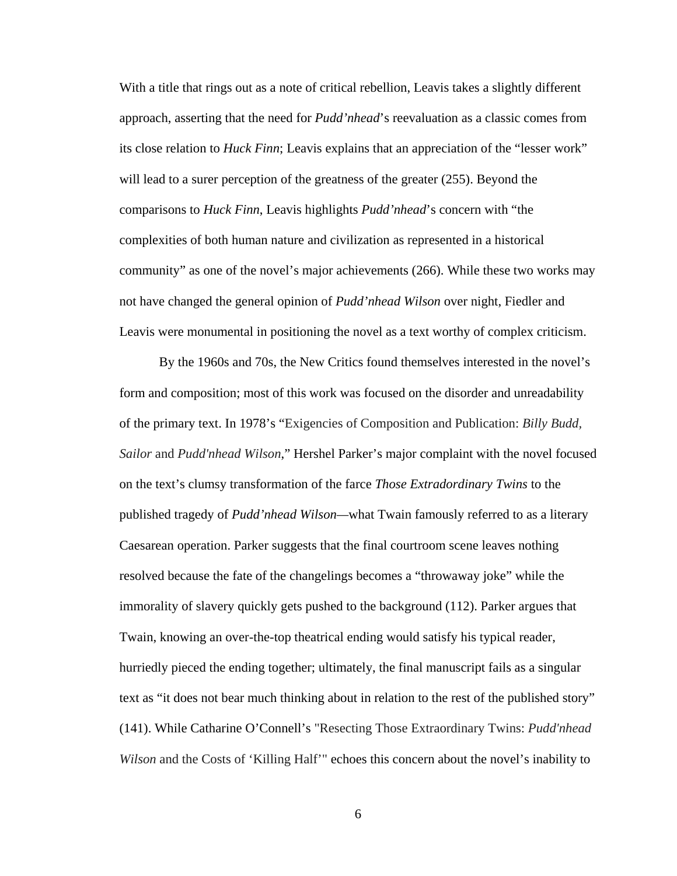With a title that rings out as a note of critical rebellion, Leavis takes a slightly different approach, asserting that the need for *Pudd'nhead*'s reevaluation as a classic comes from its close relation to *Huck Finn*; Leavis explains that an appreciation of the "lesser work" will lead to a surer perception of the greatness of the greater (255). Beyond the comparisons to *Huck Finn*, Leavis highlights *Pudd'nhead*'s concern with "the complexities of both human nature and civilization as represented in a historical community" as one of the novel's major achievements (266). While these two works may not have changed the general opinion of *Pudd'nhead Wilson* over night, Fiedler and Leavis were monumental in positioning the novel as a text worthy of complex criticism.

By the 1960s and 70s, the New Critics found themselves interested in the novel's form and composition; most of this work was focused on the disorder and unreadability of the primary text. In 1978's "Exigencies of Composition and Publication: *Billy Budd, Sailor* and *Pudd'nhead Wilson*," Hershel Parker's major complaint with the novel focused on the text's clumsy transformation of the farce *Those Extradordinary Twins* to the published tragedy of *Pudd'nhead Wilson—*what Twain famously referred to as a literary Caesarean operation. Parker suggests that the final courtroom scene leaves nothing resolved because the fate of the changelings becomes a "throwaway joke" while the immorality of slavery quickly gets pushed to the background (112). Parker argues that Twain, knowing an over-the-top theatrical ending would satisfy his typical reader, hurriedly pieced the ending together; ultimately, the final manuscript fails as a singular text as "it does not bear much thinking about in relation to the rest of the published story" (141). While Catharine O'Connell's "Resecting Those Extraordinary Twins: *Pudd'nhead Wilson* and the Costs of 'Killing Half'" echoes this concern about the novel's inability to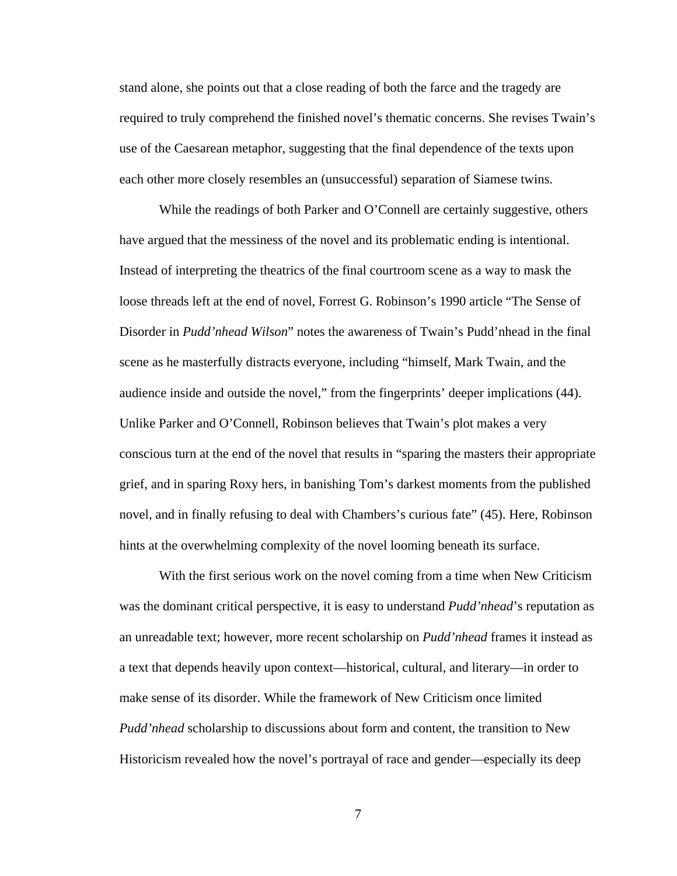stand alone, she points out that a close reading of both the farce and the tragedy are required to truly comprehend the finished novel's thematic concerns. She revises Twain's use of the Caesarean metaphor, suggesting that the final dependence of the texts upon each other more closely resembles an (unsuccessful) separation of Siamese twins.

While the readings of both Parker and O'Connell are certainly suggestive, others have argued that the messiness of the novel and its problematic ending is intentional. Instead of interpreting the theatrics of the final courtroom scene as a way to mask the loose threads left at the end of novel, Forrest G. Robinson's 1990 article "The Sense of Disorder in *Pudd'nhead Wilson*" notes the awareness of Twain's Pudd'nhead in the final scene as he masterfully distracts everyone, including "himself, Mark Twain, and the audience inside and outside the novel," from the fingerprints' deeper implications (44). Unlike Parker and O'Connell, Robinson believes that Twain's plot makes a very conscious turn at the end of the novel that results in "sparing the masters their appropriate grief, and in sparing Roxy hers, in banishing Tom's darkest moments from the published novel, and in finally refusing to deal with Chambers's curious fate" (45). Here, Robinson hints at the overwhelming complexity of the novel looming beneath its surface.

With the first serious work on the novel coming from a time when New Criticism was the dominant critical perspective, it is easy to understand *Pudd'nhead*'s reputation as an unreadable text; however, more recent scholarship on *Pudd'nhead* frames it instead as a text that depends heavily upon context—historical, cultural, and literary—in order to make sense of its disorder. While the framework of New Criticism once limited *Pudd'nhead* scholarship to discussions about form and content, the transition to New Historicism revealed how the novel's portrayal of race and gender—especially its deep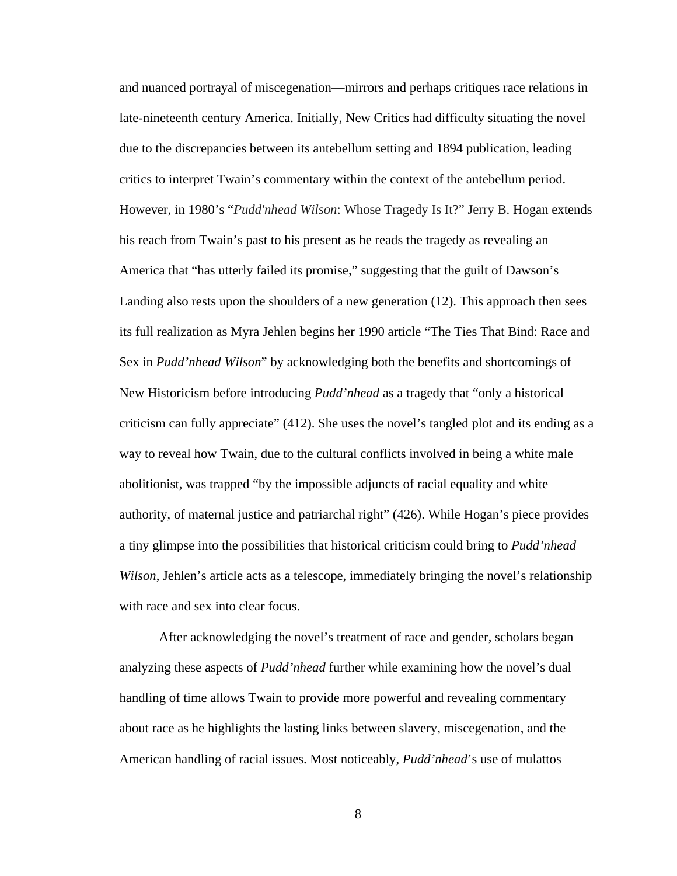and nuanced portrayal of miscegenation—mirrors and perhaps critiques race relations in late-nineteenth century America. Initially, New Critics had difficulty situating the novel due to the discrepancies between its antebellum setting and 1894 publication, leading critics to interpret Twain's commentary within the context of the antebellum period. However, in 1980's "*Pudd'nhead Wilson*: Whose Tragedy Is It?" Jerry B. Hogan extends his reach from Twain's past to his present as he reads the tragedy as revealing an America that "has utterly failed its promise," suggesting that the guilt of Dawson's Landing also rests upon the shoulders of a new generation (12). This approach then sees its full realization as Myra Jehlen begins her 1990 article "The Ties That Bind: Race and Sex in *Pudd'nhead Wilson*" by acknowledging both the benefits and shortcomings of New Historicism before introducing *Pudd'nhead* as a tragedy that "only a historical criticism can fully appreciate" (412). She uses the novel's tangled plot and its ending as a way to reveal how Twain, due to the cultural conflicts involved in being a white male abolitionist, was trapped "by the impossible adjuncts of racial equality and white authority, of maternal justice and patriarchal right" (426). While Hogan's piece provides a tiny glimpse into the possibilities that historical criticism could bring to *Pudd'nhead Wilson*, Jehlen's article acts as a telescope, immediately bringing the novel's relationship with race and sex into clear focus.

After acknowledging the novel's treatment of race and gender, scholars began analyzing these aspects of *Pudd'nhead* further while examining how the novel's dual handling of time allows Twain to provide more powerful and revealing commentary about race as he highlights the lasting links between slavery, miscegenation, and the American handling of racial issues. Most noticeably, *Pudd'nhead*'s use of mulattos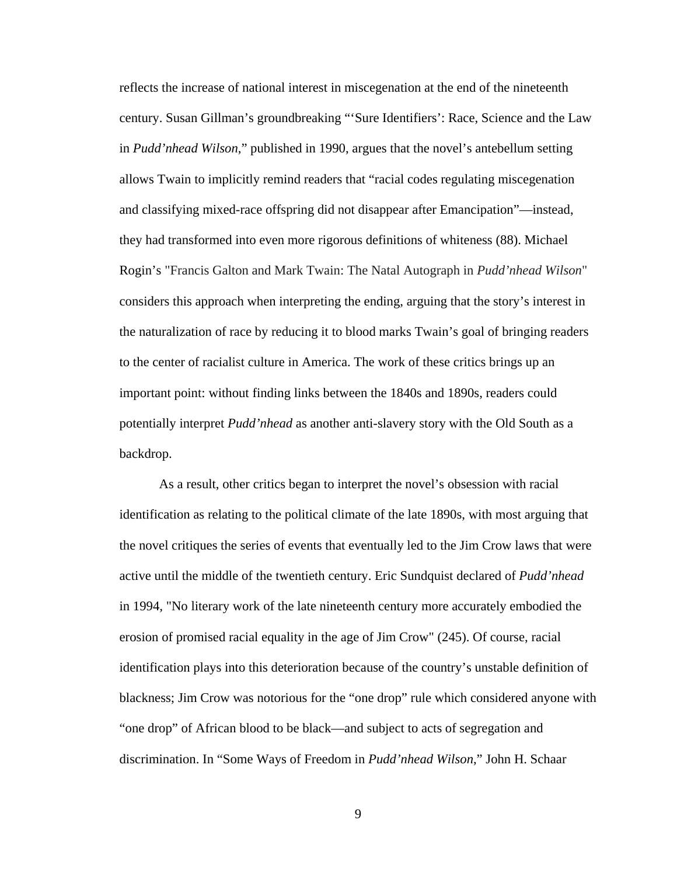reflects the increase of national interest in miscegenation at the end of the nineteenth century. Susan Gillman's groundbreaking "'Sure Identifiers': Race, Science and the Law in *Pudd'nhead Wilson,*" published in 1990, argues that the novel's antebellum setting allows Twain to implicitly remind readers that "racial codes regulating miscegenation and classifying mixed-race offspring did not disappear after Emancipation"—instead, they had transformed into even more rigorous definitions of whiteness (88). Michael Rogin's "Francis Galton and Mark Twain: The Natal Autograph in *Pudd'nhead Wilson*" considers this approach when interpreting the ending, arguing that the story's interest in the naturalization of race by reducing it to blood marks Twain's goal of bringing readers to the center of racialist culture in America. The work of these critics brings up an important point: without finding links between the 1840s and 1890s, readers could potentially interpret *Pudd'nhead* as another anti-slavery story with the Old South as a backdrop.

As a result, other critics began to interpret the novel's obsession with racial identification as relating to the political climate of the late 1890s, with most arguing that the novel critiques the series of events that eventually led to the Jim Crow laws that were active until the middle of the twentieth century. Eric Sundquist declared of *Pudd'nhead* in 1994*,* "No literary work of the late nineteenth century more accurately embodied the erosion of promised racial equality in the age of Jim Crow" (245). Of course, racial identification plays into this deterioration because of the country's unstable definition of blackness; Jim Crow was notorious for the "one drop" rule which considered anyone with "one drop" of African blood to be black—and subject to acts of segregation and discrimination. In "Some Ways of Freedom in *Pudd'nhead Wilson*," John H. Schaar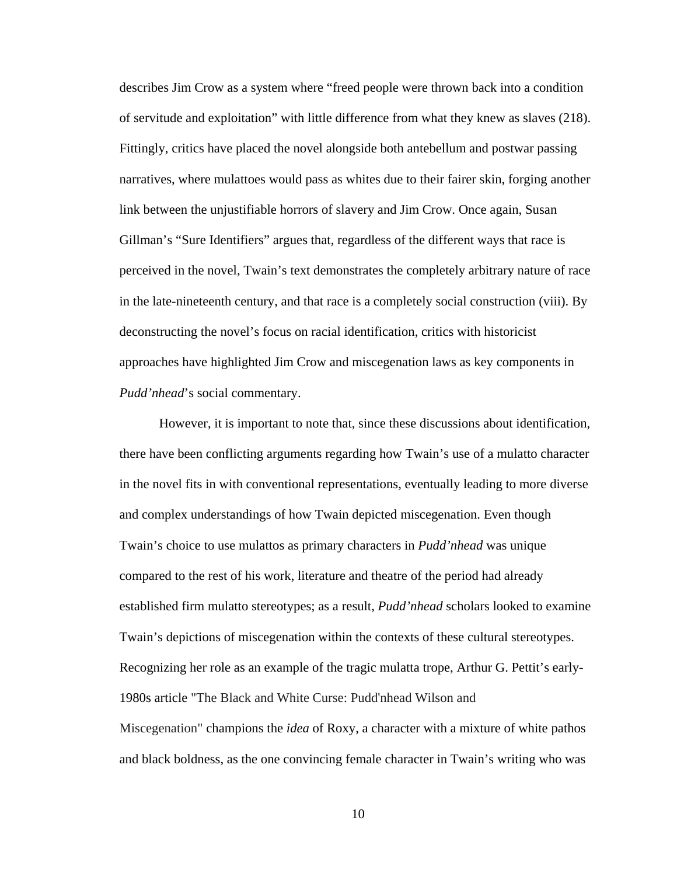describes Jim Crow as a system where "freed people were thrown back into a condition of servitude and exploitation" with little difference from what they knew as slaves (218). Fittingly, critics have placed the novel alongside both antebellum and postwar passing narratives, where mulattoes would pass as whites due to their fairer skin, forging another link between the unjustifiable horrors of slavery and Jim Crow. Once again, Susan Gillman's "Sure Identifiers" argues that, regardless of the different ways that race is perceived in the novel, Twain's text demonstrates the completely arbitrary nature of race in the late-nineteenth century, and that race is a completely social construction (viii). By deconstructing the novel's focus on racial identification, critics with historicist approaches have highlighted Jim Crow and miscegenation laws as key components in *Pudd'nhead*'s social commentary.

However, it is important to note that, since these discussions about identification, there have been conflicting arguments regarding how Twain's use of a mulatto character in the novel fits in with conventional representations, eventually leading to more diverse and complex understandings of how Twain depicted miscegenation. Even though Twain's choice to use mulattos as primary characters in *Pudd'nhead* was unique compared to the rest of his work, literature and theatre of the period had already established firm mulatto stereotypes; as a result, *Pudd'nhead* scholars looked to examine Twain's depictions of miscegenation within the contexts of these cultural stereotypes. Recognizing her role as an example of the tragic mulatta trope, Arthur G. Pettit's early-1980s article "The Black and White Curse: Pudd'nhead Wilson and Miscegenation" champions the *idea* of Roxy, a character with a mixture of white pathos and black boldness, as the one convincing female character in Twain's writing who was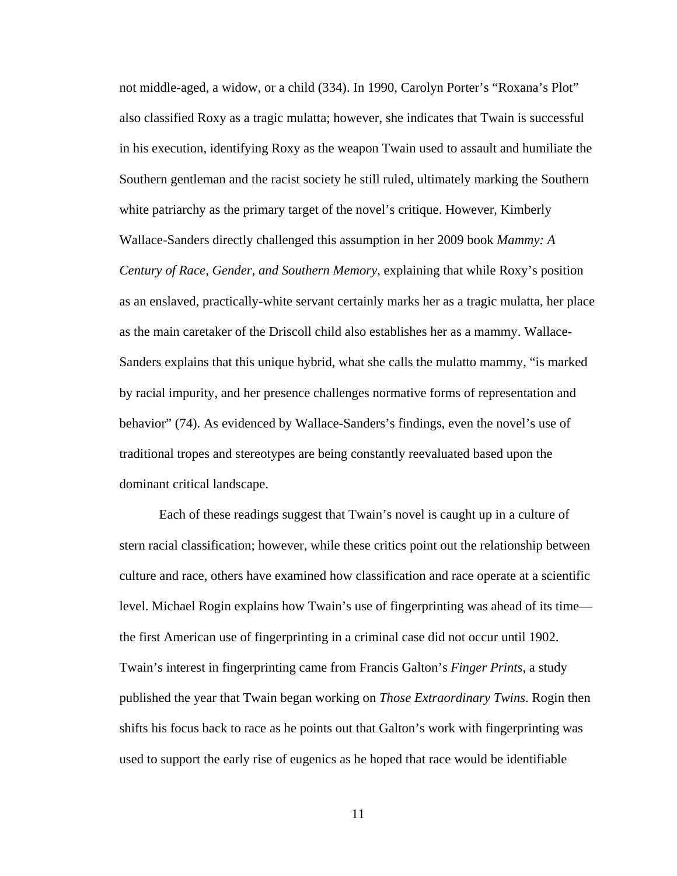not middle-aged, a widow, or a child (334). In 1990, Carolyn Porter's "Roxana's Plot" also classified Roxy as a tragic mulatta; however, she indicates that Twain is successful in his execution, identifying Roxy as the weapon Twain used to assault and humiliate the Southern gentleman and the racist society he still ruled, ultimately marking the Southern white patriarchy as the primary target of the novel's critique. However, Kimberly Wallace-Sanders directly challenged this assumption in her 2009 book *Mammy: A Century of Race, Gender, and Southern Memory*, explaining that while Roxy's position as an enslaved, practically-white servant certainly marks her as a tragic mulatta, her place as the main caretaker of the Driscoll child also establishes her as a mammy. Wallace-Sanders explains that this unique hybrid, what she calls the mulatto mammy, "is marked by racial impurity, and her presence challenges normative forms of representation and behavior" (74). As evidenced by Wallace-Sanders's findings, even the novel's use of traditional tropes and stereotypes are being constantly reevaluated based upon the dominant critical landscape.

Each of these readings suggest that Twain's novel is caught up in a culture of stern racial classification; however, while these critics point out the relationship between culture and race, others have examined how classification and race operate at a scientific level. Michael Rogin explains how Twain's use of fingerprinting was ahead of its time the first American use of fingerprinting in a criminal case did not occur until 1902. Twain's interest in fingerprinting came from Francis Galton's *Finger Prints*, a study published the year that Twain began working on *Those Extraordinary Twins*. Rogin then shifts his focus back to race as he points out that Galton's work with fingerprinting was used to support the early rise of eugenics as he hoped that race would be identifiable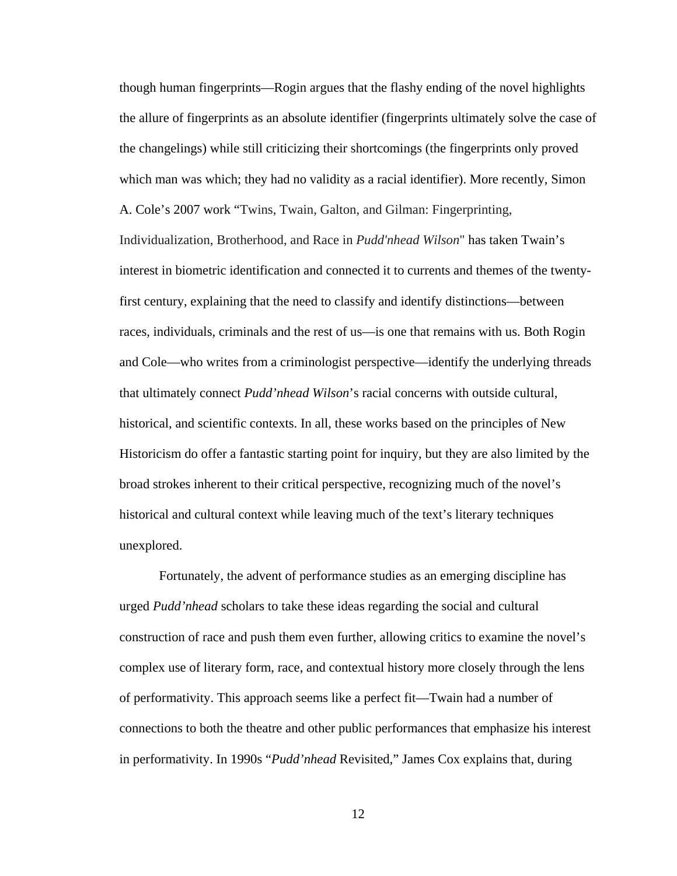though human fingerprints—Rogin argues that the flashy ending of the novel highlights the allure of fingerprints as an absolute identifier (fingerprints ultimately solve the case of the changelings) while still criticizing their shortcomings (the fingerprints only proved which man was which; they had no validity as a racial identifier). More recently, Simon A. Cole's 2007 work "Twins, Twain, Galton, and Gilman: Fingerprinting, Individualization, Brotherhood, and Race in *Pudd'nhead Wilson*" has taken Twain's interest in biometric identification and connected it to currents and themes of the twentyfirst century, explaining that the need to classify and identify distinctions—between races, individuals, criminals and the rest of us—is one that remains with us. Both Rogin and Cole—who writes from a criminologist perspective—identify the underlying threads that ultimately connect *Pudd'nhead Wilson*'s racial concerns with outside cultural, historical, and scientific contexts. In all, these works based on the principles of New Historicism do offer a fantastic starting point for inquiry, but they are also limited by the broad strokes inherent to their critical perspective, recognizing much of the novel's historical and cultural context while leaving much of the text's literary techniques unexplored.

Fortunately, the advent of performance studies as an emerging discipline has urged *Pudd'nhead* scholars to take these ideas regarding the social and cultural construction of race and push them even further, allowing critics to examine the novel's complex use of literary form, race, and contextual history more closely through the lens of performativity. This approach seems like a perfect fit—Twain had a number of connections to both the theatre and other public performances that emphasize his interest in performativity. In 1990s "*Pudd'nhead* Revisited," James Cox explains that, during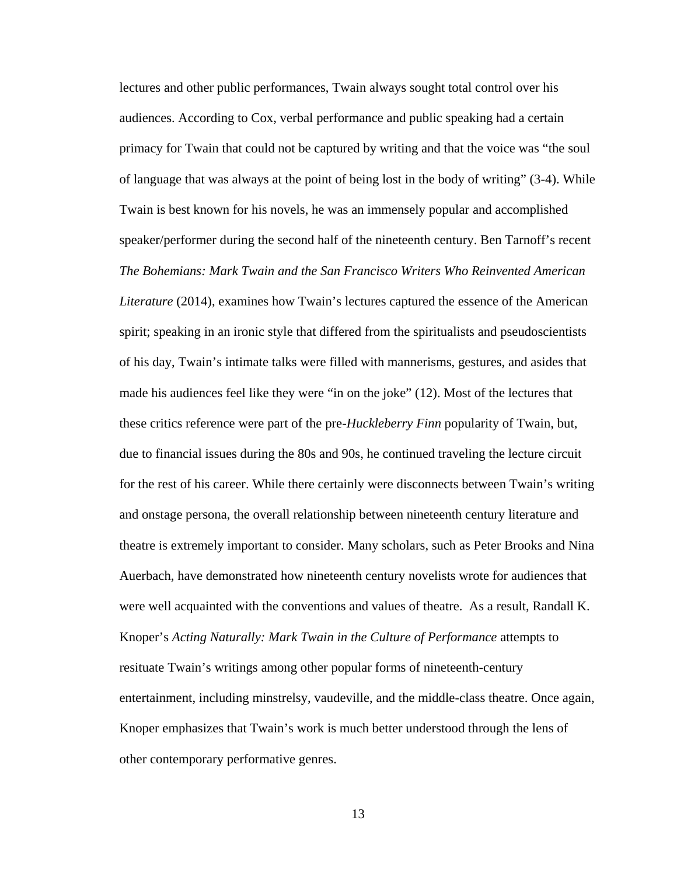lectures and other public performances, Twain always sought total control over his audiences. According to Cox, verbal performance and public speaking had a certain primacy for Twain that could not be captured by writing and that the voice was "the soul of language that was always at the point of being lost in the body of writing" (3-4). While Twain is best known for his novels, he was an immensely popular and accomplished speaker/performer during the second half of the nineteenth century. Ben Tarnoff's recent *The Bohemians: Mark Twain and the San Francisco Writers Who Reinvented American Literature* (2014), examines how Twain's lectures captured the essence of the American spirit; speaking in an ironic style that differed from the spiritualists and pseudoscientists of his day, Twain's intimate talks were filled with mannerisms, gestures, and asides that made his audiences feel like they were "in on the joke" (12). Most of the lectures that these critics reference were part of the pre-*Huckleberry Finn* popularity of Twain, but, due to financial issues during the 80s and 90s, he continued traveling the lecture circuit for the rest of his career. While there certainly were disconnects between Twain's writing and onstage persona, the overall relationship between nineteenth century literature and theatre is extremely important to consider. Many scholars, such as Peter Brooks and Nina Auerbach, have demonstrated how nineteenth century novelists wrote for audiences that were well acquainted with the conventions and values of theatre. As a result, Randall K. Knoper's *Acting Naturally: Mark Twain in the Culture of Performance* attempts to resituate Twain's writings among other popular forms of nineteenth-century entertainment, including minstrelsy, vaudeville, and the middle-class theatre. Once again, Knoper emphasizes that Twain's work is much better understood through the lens of other contemporary performative genres.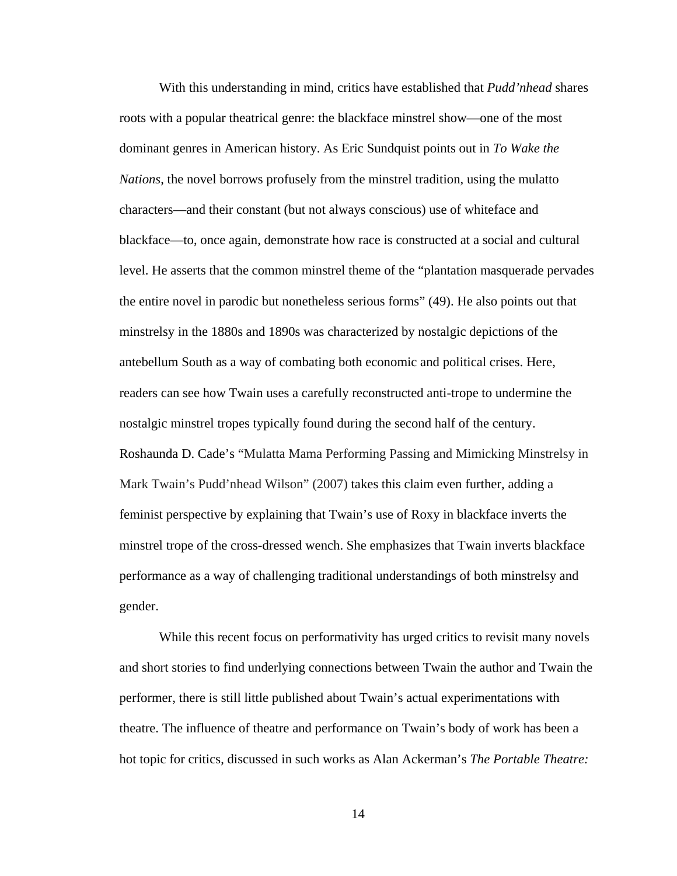With this understanding in mind, critics have established that *Pudd'nhead* shares roots with a popular theatrical genre: the blackface minstrel show—one of the most dominant genres in American history. As Eric Sundquist points out in *To Wake the Nations*, the novel borrows profusely from the minstrel tradition, using the mulatto characters—and their constant (but not always conscious) use of whiteface and blackface—to, once again, demonstrate how race is constructed at a social and cultural level. He asserts that the common minstrel theme of the "plantation masquerade pervades the entire novel in parodic but nonetheless serious forms" (49). He also points out that minstrelsy in the 1880s and 1890s was characterized by nostalgic depictions of the antebellum South as a way of combating both economic and political crises. Here, readers can see how Twain uses a carefully reconstructed anti-trope to undermine the nostalgic minstrel tropes typically found during the second half of the century. Roshaunda D. Cade's "Mulatta Mama Performing Passing and Mimicking Minstrelsy in Mark Twain's Pudd'nhead Wilson" (2007) takes this claim even further, adding a feminist perspective by explaining that Twain's use of Roxy in blackface inverts the minstrel trope of the cross-dressed wench. She emphasizes that Twain inverts blackface performance as a way of challenging traditional understandings of both minstrelsy and gender.

While this recent focus on performativity has urged critics to revisit many novels and short stories to find underlying connections between Twain the author and Twain the performer, there is still little published about Twain's actual experimentations with theatre. The influence of theatre and performance on Twain's body of work has been a hot topic for critics, discussed in such works as Alan Ackerman's *The Portable Theatre:*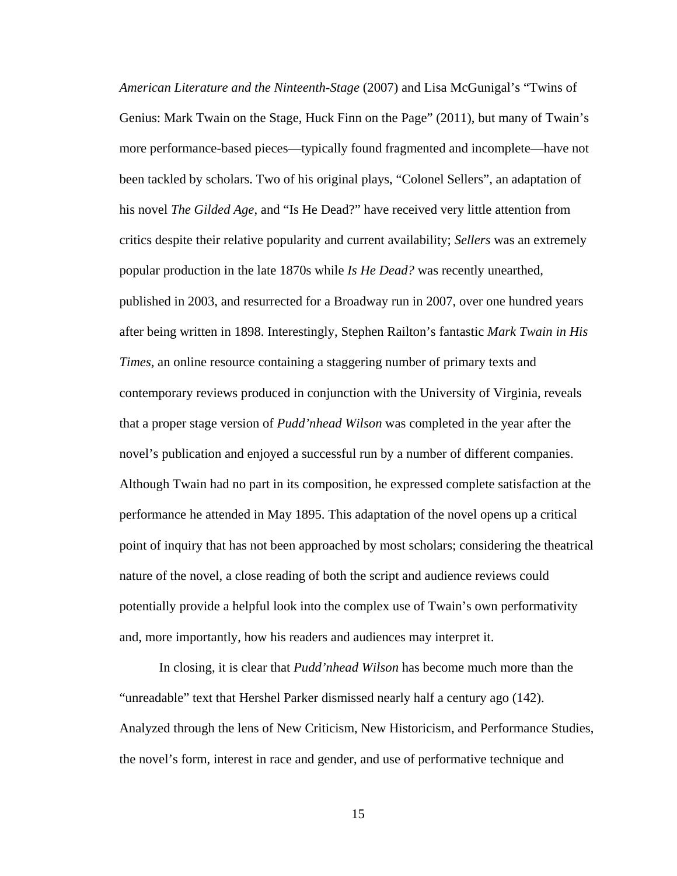*American Literature and the Ninteenth-Stage* (2007) and Lisa McGunigal's "Twins of Genius: Mark Twain on the Stage, Huck Finn on the Page" (2011), but many of Twain's more performance-based pieces—typically found fragmented and incomplete—have not been tackled by scholars. Two of his original plays, "Colonel Sellers", an adaptation of his novel *The Gilded Age*, and "Is He Dead?" have received very little attention from critics despite their relative popularity and current availability; *Sellers* was an extremely popular production in the late 1870s while *Is He Dead?* was recently unearthed, published in 2003, and resurrected for a Broadway run in 2007, over one hundred years after being written in 1898. Interestingly, Stephen Railton's fantastic *Mark Twain in His Times*, an online resource containing a staggering number of primary texts and contemporary reviews produced in conjunction with the University of Virginia, reveals that a proper stage version of *Pudd'nhead Wilson* was completed in the year after the novel's publication and enjoyed a successful run by a number of different companies. Although Twain had no part in its composition, he expressed complete satisfaction at the performance he attended in May 1895. This adaptation of the novel opens up a critical point of inquiry that has not been approached by most scholars; considering the theatrical nature of the novel, a close reading of both the script and audience reviews could potentially provide a helpful look into the complex use of Twain's own performativity and, more importantly, how his readers and audiences may interpret it.

In closing, it is clear that *Pudd'nhead Wilson* has become much more than the "unreadable" text that Hershel Parker dismissed nearly half a century ago (142). Analyzed through the lens of New Criticism, New Historicism, and Performance Studies, the novel's form, interest in race and gender, and use of performative technique and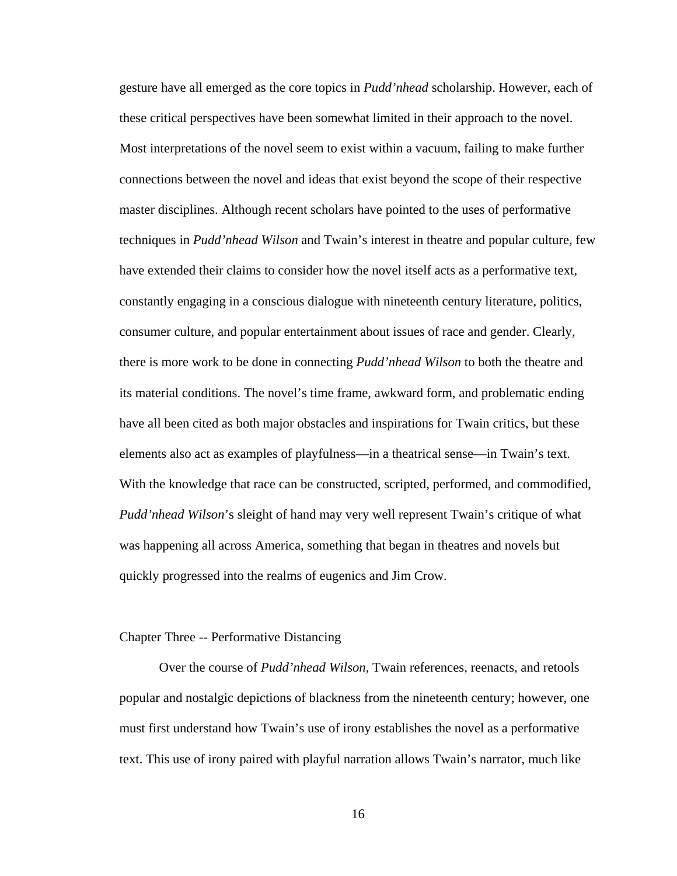gesture have all emerged as the core topics in *Pudd'nhead* scholarship. However, each of these critical perspectives have been somewhat limited in their approach to the novel. Most interpretations of the novel seem to exist within a vacuum, failing to make further connections between the novel and ideas that exist beyond the scope of their respective master disciplines. Although recent scholars have pointed to the uses of performative techniques in *Pudd'nhead Wilson* and Twain's interest in theatre and popular culture, few have extended their claims to consider how the novel itself acts as a performative text, constantly engaging in a conscious dialogue with nineteenth century literature, politics, consumer culture, and popular entertainment about issues of race and gender. Clearly, there is more work to be done in connecting *Pudd'nhead Wilson* to both the theatre and its material conditions. The novel's time frame, awkward form, and problematic ending have all been cited as both major obstacles and inspirations for Twain critics, but these elements also act as examples of playfulness—in a theatrical sense—in Twain's text. With the knowledge that race can be constructed, scripted, performed, and commodified, *Pudd'nhead Wilson*'s sleight of hand may very well represent Twain's critique of what was happening all across America, something that began in theatres and novels but quickly progressed into the realms of eugenics and Jim Crow.

#### Chapter Three -- Performative Distancing

Over the course of *Pudd'nhead Wilson*, Twain references, reenacts, and retools popular and nostalgic depictions of blackness from the nineteenth century; however, one must first understand how Twain's use of irony establishes the novel as a performative text. This use of irony paired with playful narration allows Twain's narrator, much like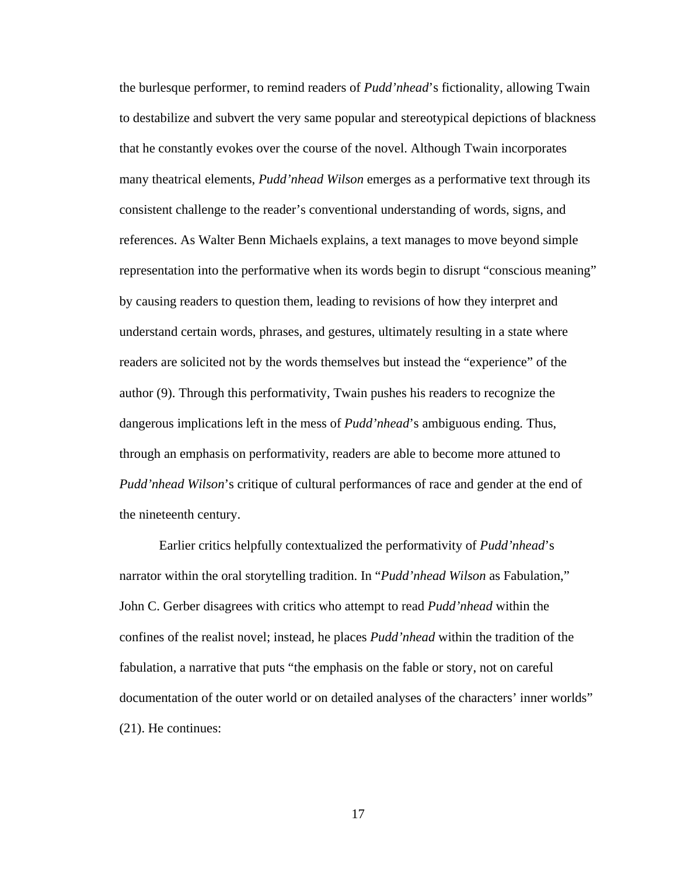the burlesque performer, to remind readers of *Pudd'nhead*'s fictionality, allowing Twain to destabilize and subvert the very same popular and stereotypical depictions of blackness that he constantly evokes over the course of the novel. Although Twain incorporates many theatrical elements, *Pudd'nhead Wilson* emerges as a performative text through its consistent challenge to the reader's conventional understanding of words, signs, and references. As Walter Benn Michaels explains, a text manages to move beyond simple representation into the performative when its words begin to disrupt "conscious meaning" by causing readers to question them, leading to revisions of how they interpret and understand certain words, phrases, and gestures, ultimately resulting in a state where readers are solicited not by the words themselves but instead the "experience" of the author (9). Through this performativity, Twain pushes his readers to recognize the dangerous implications left in the mess of *Pudd'nhead*'s ambiguous ending*.* Thus, through an emphasis on performativity, readers are able to become more attuned to *Pudd'nhead Wilson*'s critique of cultural performances of race and gender at the end of the nineteenth century.

Earlier critics helpfully contextualized the performativity of *Pudd'nhead*'s narrator within the oral storytelling tradition. In "*Pudd'nhead Wilson* as Fabulation," John C. Gerber disagrees with critics who attempt to read *Pudd'nhead* within the confines of the realist novel; instead, he places *Pudd'nhead* within the tradition of the fabulation, a narrative that puts "the emphasis on the fable or story, not on careful documentation of the outer world or on detailed analyses of the characters' inner worlds" (21). He continues: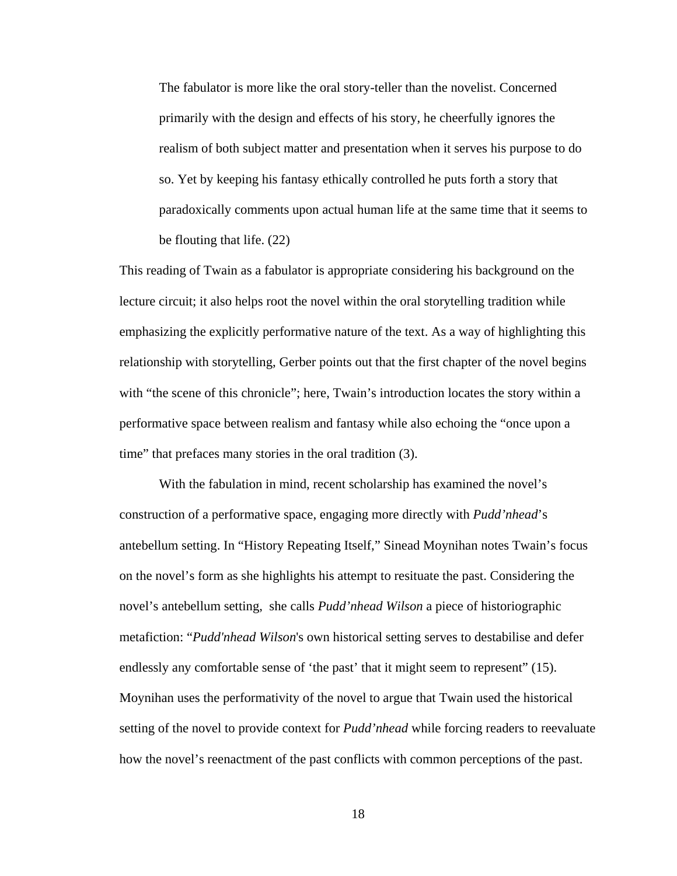The fabulator is more like the oral story-teller than the novelist. Concerned primarily with the design and effects of his story, he cheerfully ignores the realism of both subject matter and presentation when it serves his purpose to do so. Yet by keeping his fantasy ethically controlled he puts forth a story that paradoxically comments upon actual human life at the same time that it seems to be flouting that life. (22)

This reading of Twain as a fabulator is appropriate considering his background on the lecture circuit; it also helps root the novel within the oral storytelling tradition while emphasizing the explicitly performative nature of the text. As a way of highlighting this relationship with storytelling, Gerber points out that the first chapter of the novel begins with "the scene of this chronicle"; here, Twain's introduction locates the story within a performative space between realism and fantasy while also echoing the "once upon a time" that prefaces many stories in the oral tradition (3).

With the fabulation in mind, recent scholarship has examined the novel's construction of a performative space, engaging more directly with *Pudd'nhead*'s antebellum setting. In "History Repeating Itself," Sinead Moynihan notes Twain's focus on the novel's form as she highlights his attempt to resituate the past. Considering the novel's antebellum setting, she calls *Pudd'nhead Wilson* a piece of historiographic metafiction: "*Pudd'nhead Wilson*'s own historical setting serves to destabilise and defer endlessly any comfortable sense of 'the past' that it might seem to represent'' (15). Moynihan uses the performativity of the novel to argue that Twain used the historical setting of the novel to provide context for *Pudd'nhead* while forcing readers to reevaluate how the novel's reenactment of the past conflicts with common perceptions of the past.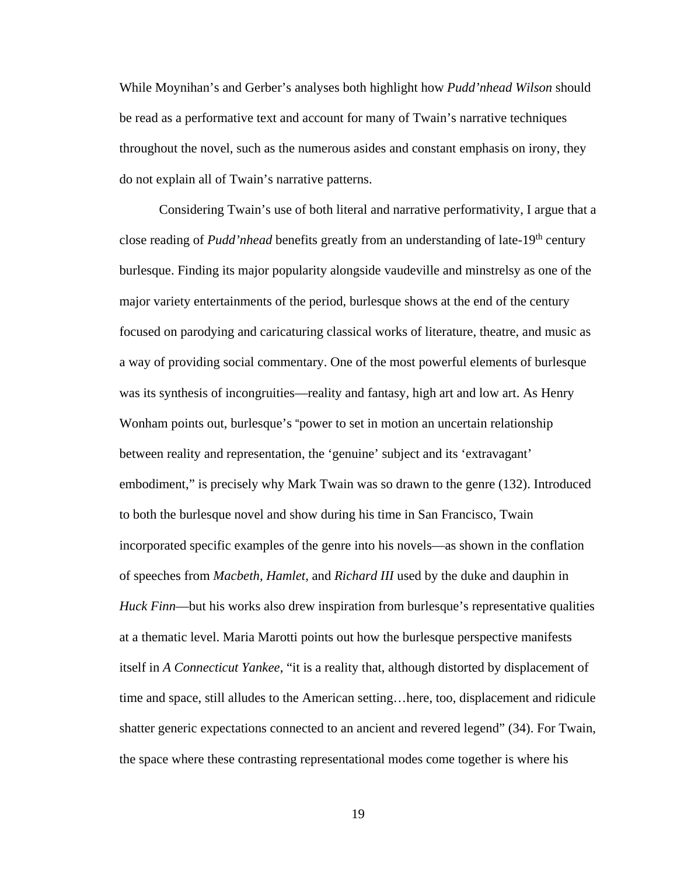While Moynihan's and Gerber's analyses both highlight how *Pudd'nhead Wilson* should be read as a performative text and account for many of Twain's narrative techniques throughout the novel, such as the numerous asides and constant emphasis on irony, they do not explain all of Twain's narrative patterns.

Considering Twain's use of both literal and narrative performativity, I argue that a close reading of *Pudd'nhead* benefits greatly from an understanding of late-19<sup>th</sup> century burlesque. Finding its major popularity alongside vaudeville and minstrelsy as one of the major variety entertainments of the period, burlesque shows at the end of the century focused on parodying and caricaturing classical works of literature, theatre, and music as a way of providing social commentary. One of the most powerful elements of burlesque was its synthesis of incongruities—reality and fantasy, high art and low art. As Henry Wonham points out, burlesque's "power to set in motion an uncertain relationship between reality and representation, the 'genuine' subject and its 'extravagant' embodiment," is precisely why Mark Twain was so drawn to the genre (132). Introduced to both the burlesque novel and show during his time in San Francisco, Twain incorporated specific examples of the genre into his novels—as shown in the conflation of speeches from *Macbeth, Hamlet*, and *Richard III* used by the duke and dauphin in *Huck Finn*—but his works also drew inspiration from burlesque's representative qualities at a thematic level. Maria Marotti points out how the burlesque perspective manifests itself in *A Connecticut Yankee*, "it is a reality that, although distorted by displacement of time and space, still alludes to the American setting…here, too, displacement and ridicule shatter generic expectations connected to an ancient and revered legend" (34). For Twain, the space where these contrasting representational modes come together is where his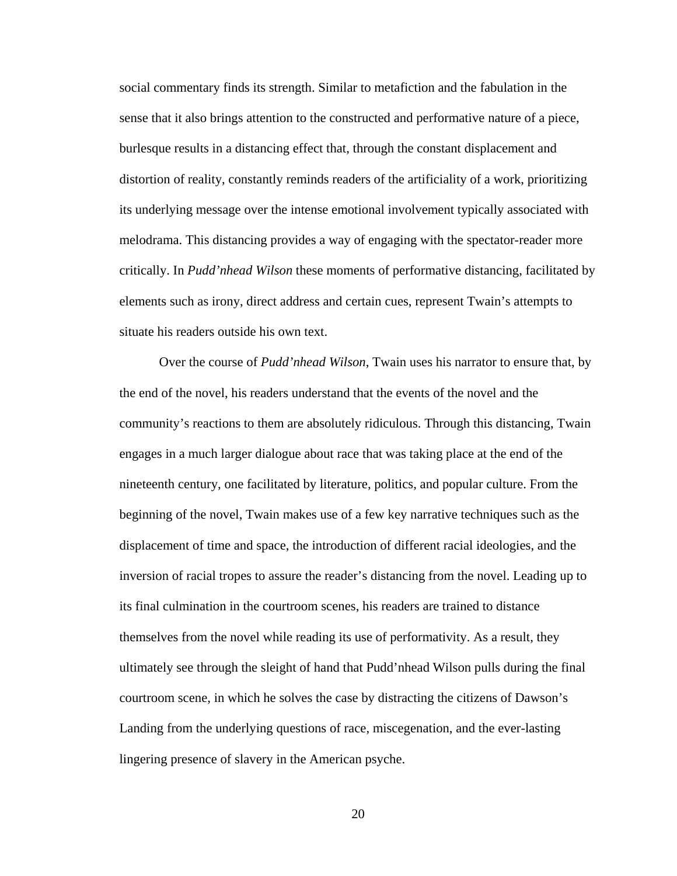social commentary finds its strength. Similar to metafiction and the fabulation in the sense that it also brings attention to the constructed and performative nature of a piece, burlesque results in a distancing effect that, through the constant displacement and distortion of reality, constantly reminds readers of the artificiality of a work, prioritizing its underlying message over the intense emotional involvement typically associated with melodrama. This distancing provides a way of engaging with the spectator-reader more critically. In *Pudd'nhead Wilson* these moments of performative distancing, facilitated by elements such as irony, direct address and certain cues, represent Twain's attempts to situate his readers outside his own text.

Over the course of *Pudd'nhead Wilson*, Twain uses his narrator to ensure that, by the end of the novel, his readers understand that the events of the novel and the community's reactions to them are absolutely ridiculous. Through this distancing, Twain engages in a much larger dialogue about race that was taking place at the end of the nineteenth century, one facilitated by literature, politics, and popular culture. From the beginning of the novel, Twain makes use of a few key narrative techniques such as the displacement of time and space, the introduction of different racial ideologies, and the inversion of racial tropes to assure the reader's distancing from the novel. Leading up to its final culmination in the courtroom scenes, his readers are trained to distance themselves from the novel while reading its use of performativity. As a result, they ultimately see through the sleight of hand that Pudd'nhead Wilson pulls during the final courtroom scene, in which he solves the case by distracting the citizens of Dawson's Landing from the underlying questions of race, miscegenation, and the ever-lasting lingering presence of slavery in the American psyche.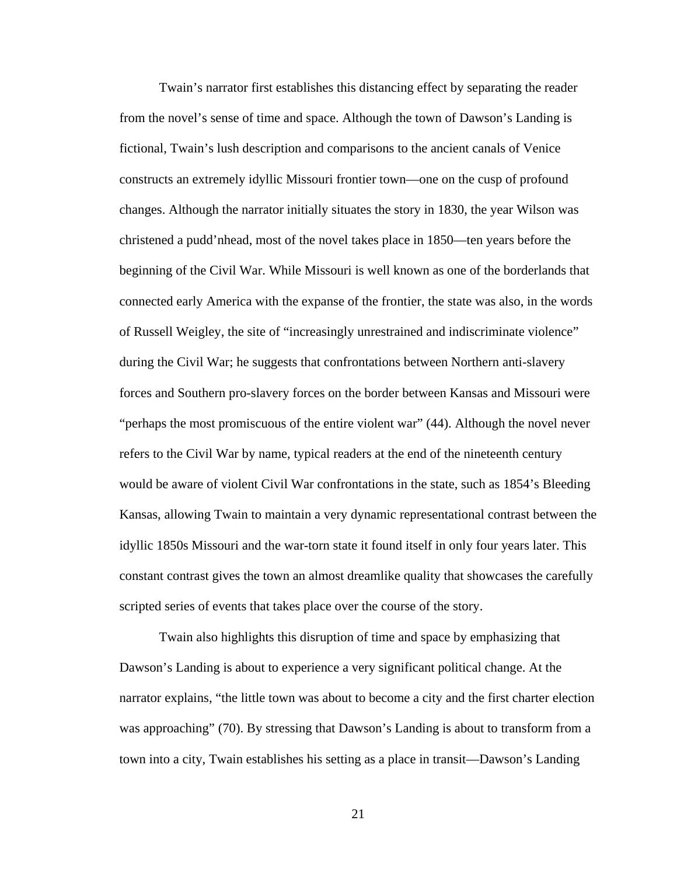Twain's narrator first establishes this distancing effect by separating the reader from the novel's sense of time and space. Although the town of Dawson's Landing is fictional, Twain's lush description and comparisons to the ancient canals of Venice constructs an extremely idyllic Missouri frontier town—one on the cusp of profound changes. Although the narrator initially situates the story in 1830, the year Wilson was christened a pudd'nhead, most of the novel takes place in 1850—ten years before the beginning of the Civil War. While Missouri is well known as one of the borderlands that connected early America with the expanse of the frontier, the state was also, in the words of Russell Weigley, the site of "increasingly unrestrained and indiscriminate violence" during the Civil War; he suggests that confrontations between Northern anti-slavery forces and Southern pro-slavery forces on the border between Kansas and Missouri were "perhaps the most promiscuous of the entire violent war" (44). Although the novel never refers to the Civil War by name, typical readers at the end of the nineteenth century would be aware of violent Civil War confrontations in the state, such as 1854's Bleeding Kansas, allowing Twain to maintain a very dynamic representational contrast between the idyllic 1850s Missouri and the war-torn state it found itself in only four years later. This constant contrast gives the town an almost dreamlike quality that showcases the carefully scripted series of events that takes place over the course of the story.

Twain also highlights this disruption of time and space by emphasizing that Dawson's Landing is about to experience a very significant political change. At the narrator explains, "the little town was about to become a city and the first charter election was approaching" (70). By stressing that Dawson's Landing is about to transform from a town into a city, Twain establishes his setting as a place in transit—Dawson's Landing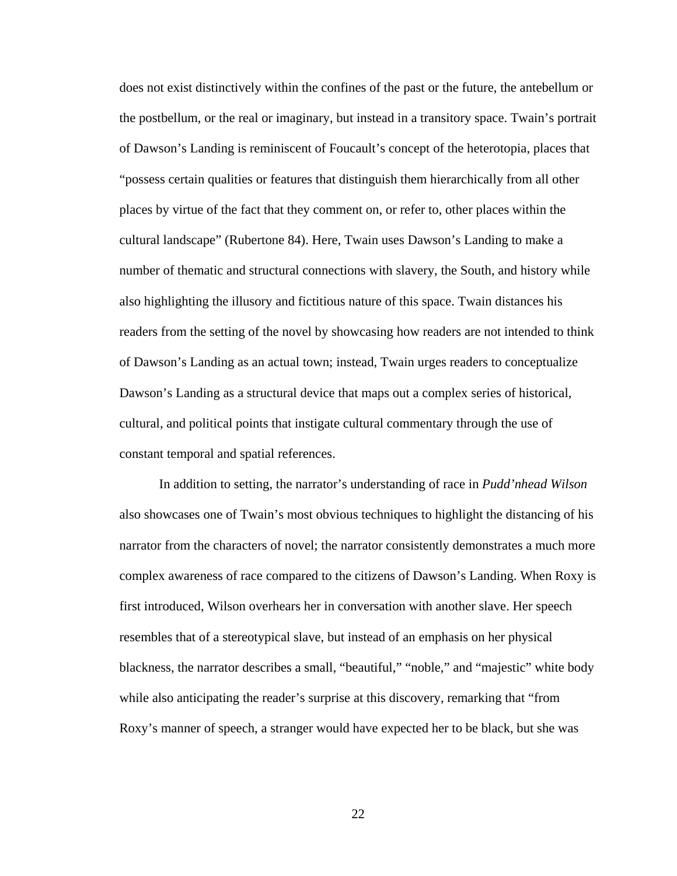does not exist distinctively within the confines of the past or the future, the antebellum or the postbellum, or the real or imaginary, but instead in a transitory space. Twain's portrait of Dawson's Landing is reminiscent of Foucault's concept of the heterotopia, places that "possess certain qualities or features that distinguish them hierarchically from all other places by virtue of the fact that they comment on, or refer to, other places within the cultural landscape" (Rubertone 84). Here, Twain uses Dawson's Landing to make a number of thematic and structural connections with slavery, the South, and history while also highlighting the illusory and fictitious nature of this space. Twain distances his readers from the setting of the novel by showcasing how readers are not intended to think of Dawson's Landing as an actual town; instead, Twain urges readers to conceptualize Dawson's Landing as a structural device that maps out a complex series of historical, cultural, and political points that instigate cultural commentary through the use of constant temporal and spatial references.

In addition to setting, the narrator's understanding of race in *Pudd'nhead Wilson*  also showcases one of Twain's most obvious techniques to highlight the distancing of his narrator from the characters of novel; the narrator consistently demonstrates a much more complex awareness of race compared to the citizens of Dawson's Landing. When Roxy is first introduced, Wilson overhears her in conversation with another slave. Her speech resembles that of a stereotypical slave, but instead of an emphasis on her physical blackness, the narrator describes a small, "beautiful," "noble," and "majestic" white body while also anticipating the reader's surprise at this discovery, remarking that "from Roxy's manner of speech, a stranger would have expected her to be black, but she was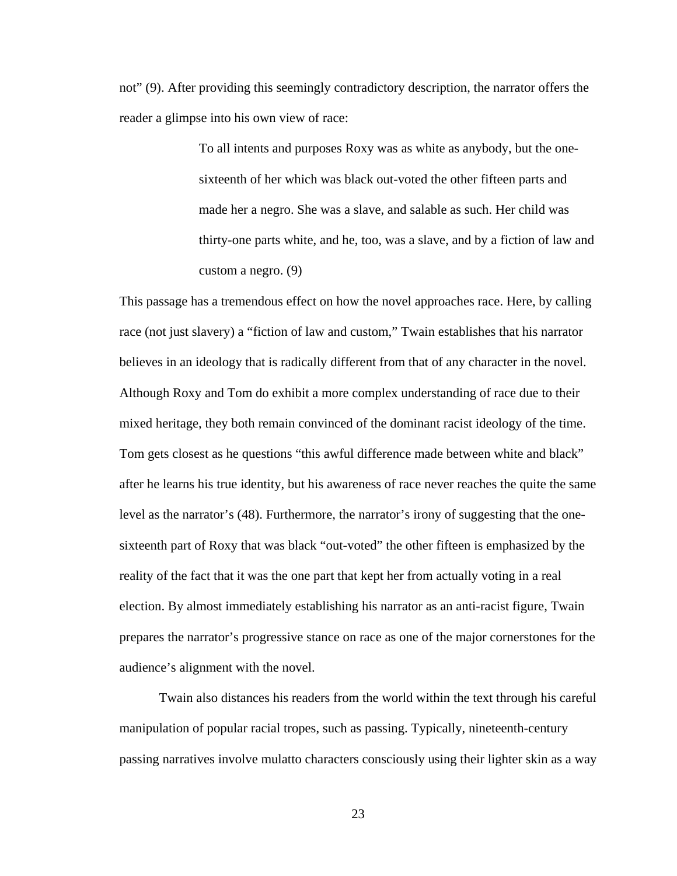not" (9). After providing this seemingly contradictory description, the narrator offers the reader a glimpse into his own view of race:

> To all intents and purposes Roxy was as white as anybody, but the onesixteenth of her which was black out-voted the other fifteen parts and made her a negro. She was a slave, and salable as such. Her child was thirty-one parts white, and he, too, was a slave, and by a fiction of law and custom a negro. (9)

This passage has a tremendous effect on how the novel approaches race. Here, by calling race (not just slavery) a "fiction of law and custom," Twain establishes that his narrator believes in an ideology that is radically different from that of any character in the novel. Although Roxy and Tom do exhibit a more complex understanding of race due to their mixed heritage, they both remain convinced of the dominant racist ideology of the time. Tom gets closest as he questions "this awful difference made between white and black" after he learns his true identity, but his awareness of race never reaches the quite the same level as the narrator's (48). Furthermore, the narrator's irony of suggesting that the onesixteenth part of Roxy that was black "out-voted" the other fifteen is emphasized by the reality of the fact that it was the one part that kept her from actually voting in a real election. By almost immediately establishing his narrator as an anti-racist figure, Twain prepares the narrator's progressive stance on race as one of the major cornerstones for the audience's alignment with the novel.

Twain also distances his readers from the world within the text through his careful manipulation of popular racial tropes, such as passing. Typically, nineteenth-century passing narratives involve mulatto characters consciously using their lighter skin as a way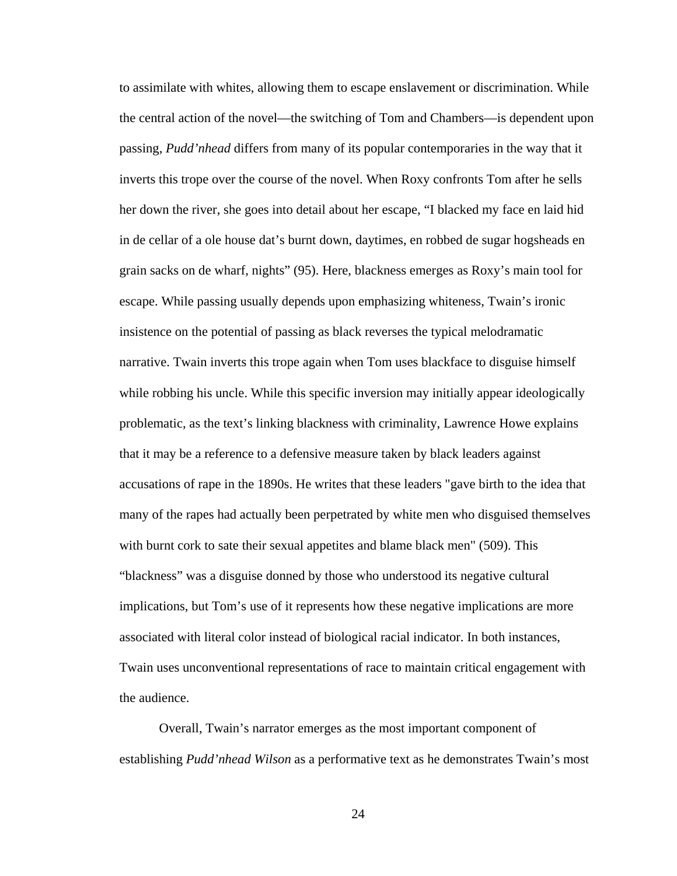to assimilate with whites, allowing them to escape enslavement or discrimination. While the central action of the novel—the switching of Tom and Chambers—is dependent upon passing, *Pudd'nhead* differs from many of its popular contemporaries in the way that it inverts this trope over the course of the novel. When Roxy confronts Tom after he sells her down the river, she goes into detail about her escape, "I blacked my face en laid hid in de cellar of a ole house dat's burnt down, daytimes, en robbed de sugar hogsheads en grain sacks on de wharf, nights" (95). Here, blackness emerges as Roxy's main tool for escape. While passing usually depends upon emphasizing whiteness, Twain's ironic insistence on the potential of passing as black reverses the typical melodramatic narrative. Twain inverts this trope again when Tom uses blackface to disguise himself while robbing his uncle. While this specific inversion may initially appear ideologically problematic, as the text's linking blackness with criminality, Lawrence Howe explains that it may be a reference to a defensive measure taken by black leaders against accusations of rape in the 1890s. He writes that these leaders "gave birth to the idea that many of the rapes had actually been perpetrated by white men who disguised themselves with burnt cork to sate their sexual appetites and blame black men" (509). This "blackness" was a disguise donned by those who understood its negative cultural implications, but Tom's use of it represents how these negative implications are more associated with literal color instead of biological racial indicator. In both instances, Twain uses unconventional representations of race to maintain critical engagement with the audience.

Overall, Twain's narrator emerges as the most important component of establishing *Pudd'nhead Wilson* as a performative text as he demonstrates Twain's most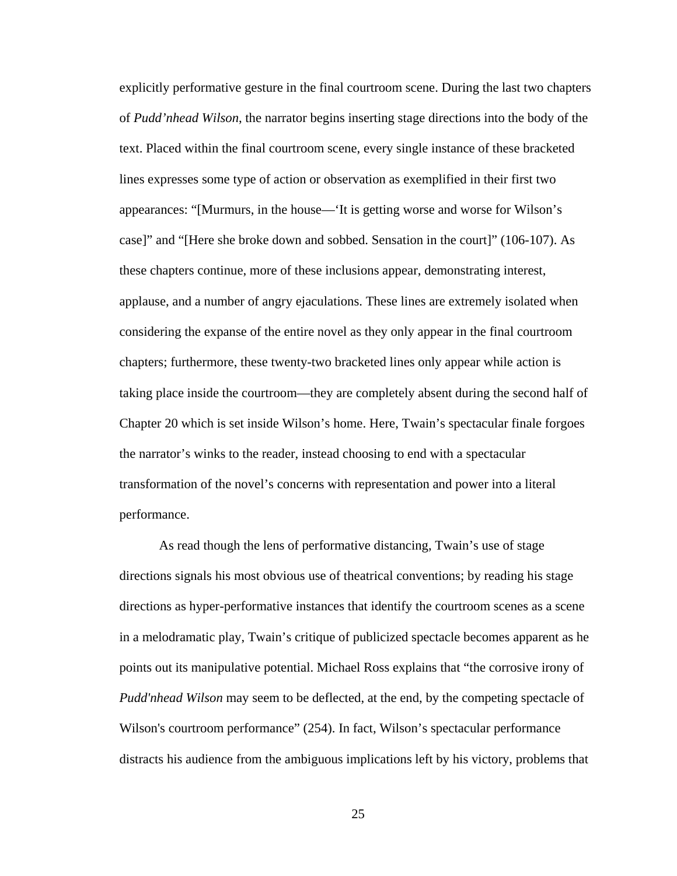explicitly performative gesture in the final courtroom scene. During the last two chapters of *Pudd'nhead Wilson*, the narrator begins inserting stage directions into the body of the text. Placed within the final courtroom scene, every single instance of these bracketed lines expresses some type of action or observation as exemplified in their first two appearances: "[Murmurs, in the house—'It is getting worse and worse for Wilson's case]" and "[Here she broke down and sobbed. Sensation in the court]" (106-107). As these chapters continue, more of these inclusions appear, demonstrating interest, applause, and a number of angry ejaculations. These lines are extremely isolated when considering the expanse of the entire novel as they only appear in the final courtroom chapters; furthermore, these twenty-two bracketed lines only appear while action is taking place inside the courtroom—they are completely absent during the second half of Chapter 20 which is set inside Wilson's home. Here, Twain's spectacular finale forgoes the narrator's winks to the reader, instead choosing to end with a spectacular transformation of the novel's concerns with representation and power into a literal performance.

As read though the lens of performative distancing, Twain's use of stage directions signals his most obvious use of theatrical conventions; by reading his stage directions as hyper-performative instances that identify the courtroom scenes as a scene in a melodramatic play, Twain's critique of publicized spectacle becomes apparent as he points out its manipulative potential. Michael Ross explains that "the corrosive irony of *Pudd'nhead Wilson* may seem to be deflected, at the end, by the competing spectacle of Wilson's courtroom performance" (254). In fact, Wilson's spectacular performance distracts his audience from the ambiguous implications left by his victory, problems that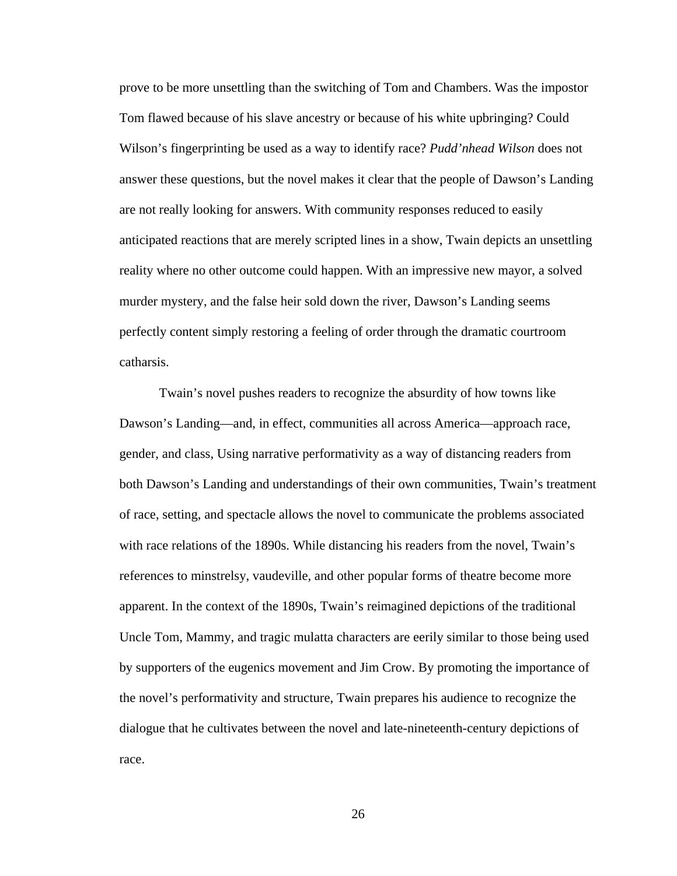prove to be more unsettling than the switching of Tom and Chambers. Was the impostor Tom flawed because of his slave ancestry or because of his white upbringing? Could Wilson's fingerprinting be used as a way to identify race? *Pudd'nhead Wilson* does not answer these questions, but the novel makes it clear that the people of Dawson's Landing are not really looking for answers. With community responses reduced to easily anticipated reactions that are merely scripted lines in a show, Twain depicts an unsettling reality where no other outcome could happen. With an impressive new mayor, a solved murder mystery, and the false heir sold down the river, Dawson's Landing seems perfectly content simply restoring a feeling of order through the dramatic courtroom catharsis.

Twain's novel pushes readers to recognize the absurdity of how towns like Dawson's Landing—and, in effect, communities all across America—approach race, gender, and class, Using narrative performativity as a way of distancing readers from both Dawson's Landing and understandings of their own communities, Twain's treatment of race, setting, and spectacle allows the novel to communicate the problems associated with race relations of the 1890s. While distancing his readers from the novel, Twain's references to minstrelsy, vaudeville, and other popular forms of theatre become more apparent. In the context of the 1890s, Twain's reimagined depictions of the traditional Uncle Tom, Mammy, and tragic mulatta characters are eerily similar to those being used by supporters of the eugenics movement and Jim Crow. By promoting the importance of the novel's performativity and structure, Twain prepares his audience to recognize the dialogue that he cultivates between the novel and late-nineteenth-century depictions of race.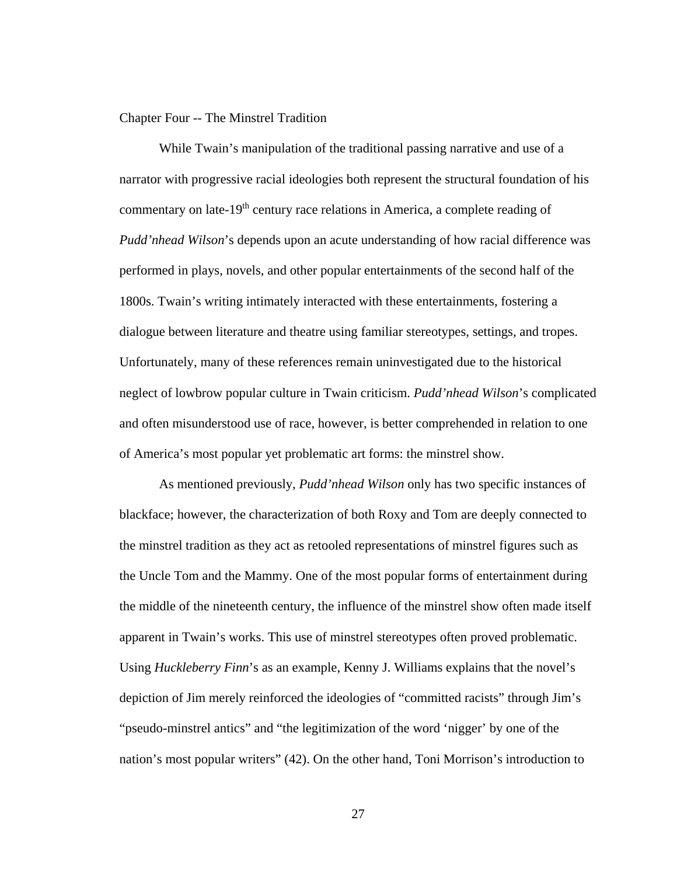#### Chapter Four -- The Minstrel Tradition

While Twain's manipulation of the traditional passing narrative and use of a narrator with progressive racial ideologies both represent the structural foundation of his commentary on late-19<sup>th</sup> century race relations in America, a complete reading of *Pudd'nhead Wilson*'s depends upon an acute understanding of how racial difference was performed in plays, novels, and other popular entertainments of the second half of the 1800s. Twain's writing intimately interacted with these entertainments, fostering a dialogue between literature and theatre using familiar stereotypes, settings, and tropes. Unfortunately, many of these references remain uninvestigated due to the historical neglect of lowbrow popular culture in Twain criticism. *Pudd'nhead Wilson*'s complicated and often misunderstood use of race, however, is better comprehended in relation to one of America's most popular yet problematic art forms: the minstrel show.

As mentioned previously, *Pudd'nhead Wilson* only has two specific instances of blackface; however, the characterization of both Roxy and Tom are deeply connected to the minstrel tradition as they act as retooled representations of minstrel figures such as the Uncle Tom and the Mammy. One of the most popular forms of entertainment during the middle of the nineteenth century, the influence of the minstrel show often made itself apparent in Twain's works. This use of minstrel stereotypes often proved problematic. Using *Huckleberry Finn*'s as an example, Kenny J. Williams explains that the novel's depiction of Jim merely reinforced the ideologies of "committed racists" through Jim's "pseudo-minstrel antics" and "the legitimization of the word 'nigger' by one of the nation's most popular writers" (42). On the other hand, Toni Morrison's introduction to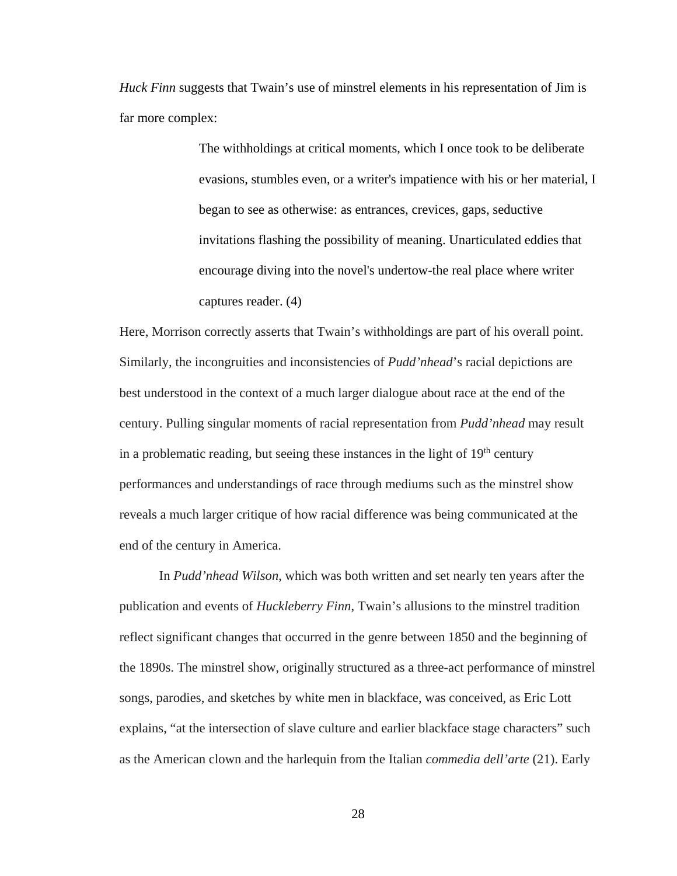*Huck Finn* suggests that Twain's use of minstrel elements in his representation of Jim is far more complex:

> The withholdings at critical moments, which I once took to be deliberate evasions, stumbles even, or a writer's impatience with his or her material, I began to see as otherwise: as entrances, crevices, gaps, seductive invitations flashing the possibility of meaning. Unarticulated eddies that encourage diving into the novel's undertow-the real place where writer captures reader. (4)

Here, Morrison correctly asserts that Twain's withholdings are part of his overall point. Similarly, the incongruities and inconsistencies of *Pudd'nhead*'s racial depictions are best understood in the context of a much larger dialogue about race at the end of the century. Pulling singular moments of racial representation from *Pudd'nhead* may result in a problematic reading, but seeing these instances in the light of  $19<sup>th</sup>$  century performances and understandings of race through mediums such as the minstrel show reveals a much larger critique of how racial difference was being communicated at the end of the century in America.

In *Pudd'nhead Wilson*, which was both written and set nearly ten years after the publication and events of *Huckleberry Finn*, Twain's allusions to the minstrel tradition reflect significant changes that occurred in the genre between 1850 and the beginning of the 1890s. The minstrel show, originally structured as a three-act performance of minstrel songs, parodies, and sketches by white men in blackface, was conceived, as Eric Lott explains, "at the intersection of slave culture and earlier blackface stage characters" such as the American clown and the harlequin from the Italian *commedia dell'arte* (21). Early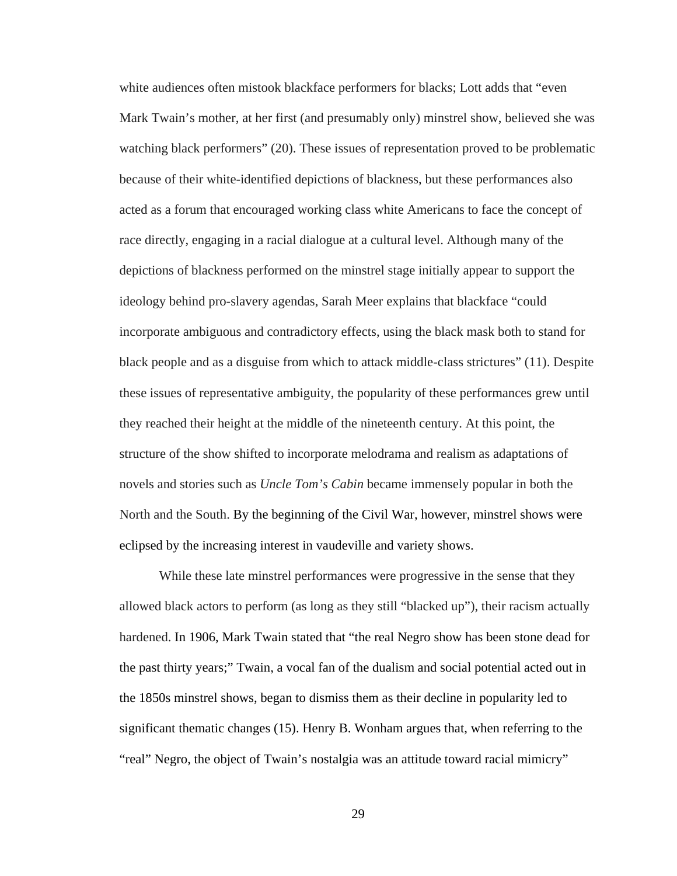white audiences often mistook blackface performers for blacks; Lott adds that "even Mark Twain's mother, at her first (and presumably only) minstrel show, believed she was watching black performers" (20). These issues of representation proved to be problematic because of their white-identified depictions of blackness, but these performances also acted as a forum that encouraged working class white Americans to face the concept of race directly, engaging in a racial dialogue at a cultural level. Although many of the depictions of blackness performed on the minstrel stage initially appear to support the ideology behind pro-slavery agendas, Sarah Meer explains that blackface "could incorporate ambiguous and contradictory effects, using the black mask both to stand for black people and as a disguise from which to attack middle-class strictures" (11). Despite these issues of representative ambiguity, the popularity of these performances grew until they reached their height at the middle of the nineteenth century. At this point, the structure of the show shifted to incorporate melodrama and realism as adaptations of novels and stories such as *Uncle Tom's Cabin* became immensely popular in both the North and the South. By the beginning of the Civil War, however, minstrel shows were eclipsed by the increasing interest in vaudeville and variety shows.

While these late minstrel performances were progressive in the sense that they allowed black actors to perform (as long as they still "blacked up"), their racism actually hardened. In 1906, Mark Twain stated that "the real Negro show has been stone dead for the past thirty years;" Twain, a vocal fan of the dualism and social potential acted out in the 1850s minstrel shows, began to dismiss them as their decline in popularity led to significant thematic changes (15). Henry B. Wonham argues that, when referring to the "real" Negro, the object of Twain's nostalgia was an attitude toward racial mimicry"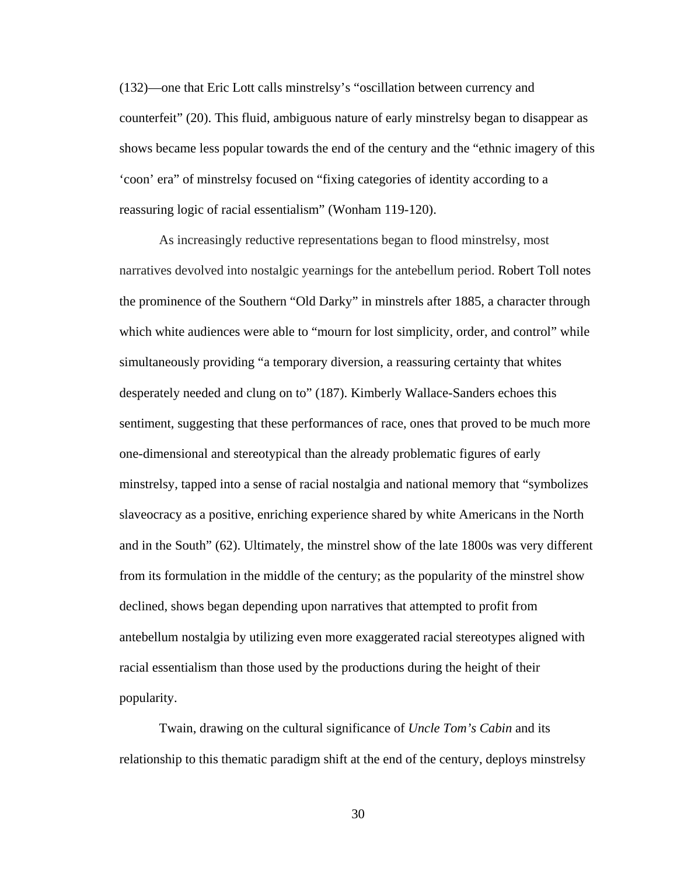(132)—one that Eric Lott calls minstrelsy's "oscillation between currency and counterfeit" (20). This fluid, ambiguous nature of early minstrelsy began to disappear as shows became less popular towards the end of the century and the "ethnic imagery of this 'coon' era" of minstrelsy focused on "fixing categories of identity according to a reassuring logic of racial essentialism" (Wonham 119-120).

As increasingly reductive representations began to flood minstrelsy, most narratives devolved into nostalgic yearnings for the antebellum period. Robert Toll notes the prominence of the Southern "Old Darky" in minstrels after 1885, a character through which white audiences were able to "mourn for lost simplicity, order, and control" while simultaneously providing "a temporary diversion, a reassuring certainty that whites desperately needed and clung on to" (187). Kimberly Wallace-Sanders echoes this sentiment, suggesting that these performances of race, ones that proved to be much more one-dimensional and stereotypical than the already problematic figures of early minstrelsy, tapped into a sense of racial nostalgia and national memory that "symbolizes slaveocracy as a positive, enriching experience shared by white Americans in the North and in the South" (62). Ultimately, the minstrel show of the late 1800s was very different from its formulation in the middle of the century; as the popularity of the minstrel show declined, shows began depending upon narratives that attempted to profit from antebellum nostalgia by utilizing even more exaggerated racial stereotypes aligned with racial essentialism than those used by the productions during the height of their popularity.

Twain, drawing on the cultural significance of *Uncle Tom's Cabin* and its relationship to this thematic paradigm shift at the end of the century, deploys minstrelsy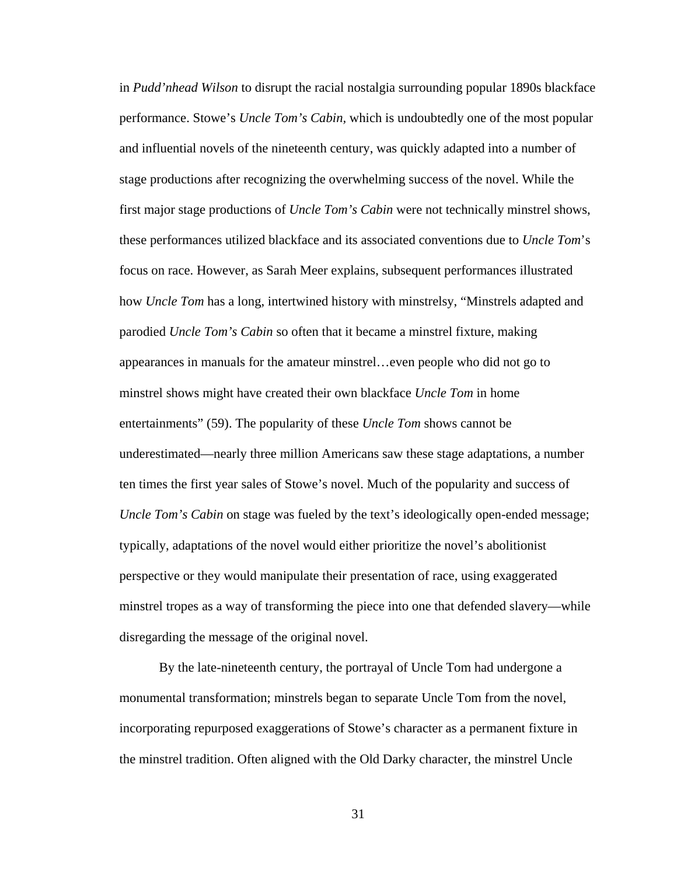in *Pudd'nhead Wilson* to disrupt the racial nostalgia surrounding popular 1890s blackface performance. Stowe's *Uncle Tom's Cabin,* which is undoubtedly one of the most popular and influential novels of the nineteenth century, was quickly adapted into a number of stage productions after recognizing the overwhelming success of the novel. While the first major stage productions of *Uncle Tom's Cabin* were not technically minstrel shows, these performances utilized blackface and its associated conventions due to *Uncle Tom*'s focus on race. However, as Sarah Meer explains, subsequent performances illustrated how *Uncle Tom* has a long, intertwined history with minstrelsy, "Minstrels adapted and parodied *Uncle Tom's Cabin* so often that it became a minstrel fixture, making appearances in manuals for the amateur minstrel…even people who did not go to minstrel shows might have created their own blackface *Uncle Tom* in home entertainments" (59). The popularity of these *Uncle Tom* shows cannot be underestimated—nearly three million Americans saw these stage adaptations, a number ten times the first year sales of Stowe's novel. Much of the popularity and success of *Uncle Tom's Cabin* on stage was fueled by the text's ideologically open-ended message; typically, adaptations of the novel would either prioritize the novel's abolitionist perspective or they would manipulate their presentation of race, using exaggerated minstrel tropes as a way of transforming the piece into one that defended slavery—while disregarding the message of the original novel.

By the late-nineteenth century, the portrayal of Uncle Tom had undergone a monumental transformation; minstrels began to separate Uncle Tom from the novel, incorporating repurposed exaggerations of Stowe's character as a permanent fixture in the minstrel tradition. Often aligned with the Old Darky character, the minstrel Uncle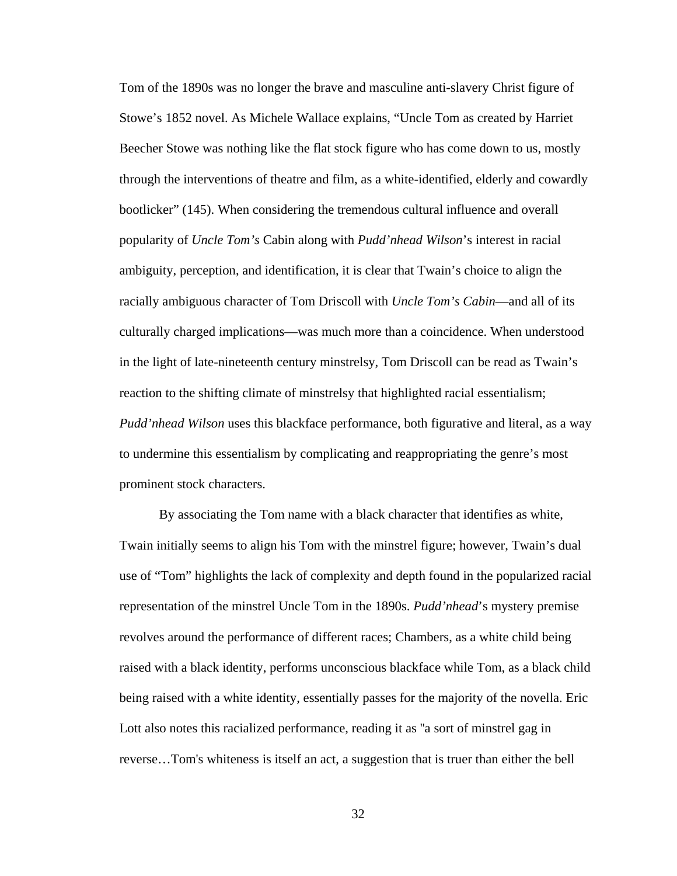Tom of the 1890s was no longer the brave and masculine anti-slavery Christ figure of Stowe's 1852 novel. As Michele Wallace explains, "Uncle Tom as created by Harriet Beecher Stowe was nothing like the flat stock figure who has come down to us, mostly through the interventions of theatre and film, as a white-identified, elderly and cowardly bootlicker" (145). When considering the tremendous cultural influence and overall popularity of *Uncle Tom's* Cabin along with *Pudd'nhead Wilson*'s interest in racial ambiguity, perception, and identification, it is clear that Twain's choice to align the racially ambiguous character of Tom Driscoll with *Uncle Tom's Cabin*—and all of its culturally charged implications—was much more than a coincidence. When understood in the light of late-nineteenth century minstrelsy, Tom Driscoll can be read as Twain's reaction to the shifting climate of minstrelsy that highlighted racial essentialism; *Pudd'nhead Wilson* uses this blackface performance, both figurative and literal, as a way to undermine this essentialism by complicating and reappropriating the genre's most prominent stock characters.

By associating the Tom name with a black character that identifies as white, Twain initially seems to align his Tom with the minstrel figure; however, Twain's dual use of "Tom" highlights the lack of complexity and depth found in the popularized racial representation of the minstrel Uncle Tom in the 1890s. *Pudd'nhead*'s mystery premise revolves around the performance of different races; Chambers, as a white child being raised with a black identity, performs unconscious blackface while Tom, as a black child being raised with a white identity, essentially passes for the majority of the novella. Eric Lott also notes this racialized performance, reading it as ''a sort of minstrel gag in reverse…Tom's whiteness is itself an act, a suggestion that is truer than either the bell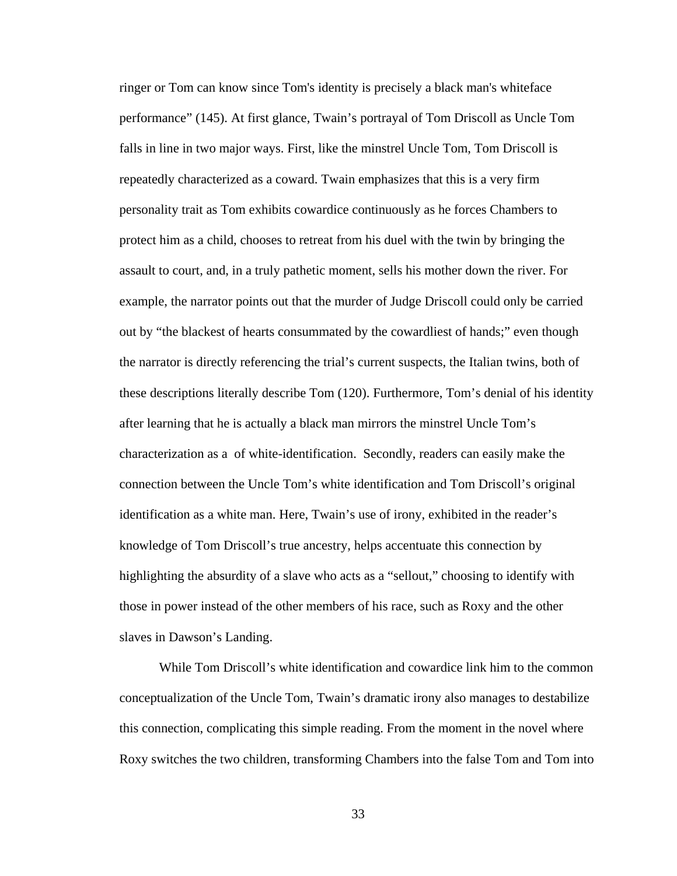ringer or Tom can know since Tom's identity is precisely a black man's whiteface performance" (145). At first glance, Twain's portrayal of Tom Driscoll as Uncle Tom falls in line in two major ways. First, like the minstrel Uncle Tom, Tom Driscoll is repeatedly characterized as a coward. Twain emphasizes that this is a very firm personality trait as Tom exhibits cowardice continuously as he forces Chambers to protect him as a child, chooses to retreat from his duel with the twin by bringing the assault to court, and, in a truly pathetic moment, sells his mother down the river. For example, the narrator points out that the murder of Judge Driscoll could only be carried out by "the blackest of hearts consummated by the cowardliest of hands;" even though the narrator is directly referencing the trial's current suspects, the Italian twins, both of these descriptions literally describe Tom (120). Furthermore, Tom's denial of his identity after learning that he is actually a black man mirrors the minstrel Uncle Tom's characterization as a of white-identification. Secondly, readers can easily make the connection between the Uncle Tom's white identification and Tom Driscoll's original identification as a white man. Here, Twain's use of irony, exhibited in the reader's knowledge of Tom Driscoll's true ancestry, helps accentuate this connection by highlighting the absurdity of a slave who acts as a "sellout," choosing to identify with those in power instead of the other members of his race, such as Roxy and the other slaves in Dawson's Landing.

While Tom Driscoll's white identification and cowardice link him to the common conceptualization of the Uncle Tom, Twain's dramatic irony also manages to destabilize this connection, complicating this simple reading. From the moment in the novel where Roxy switches the two children, transforming Chambers into the false Tom and Tom into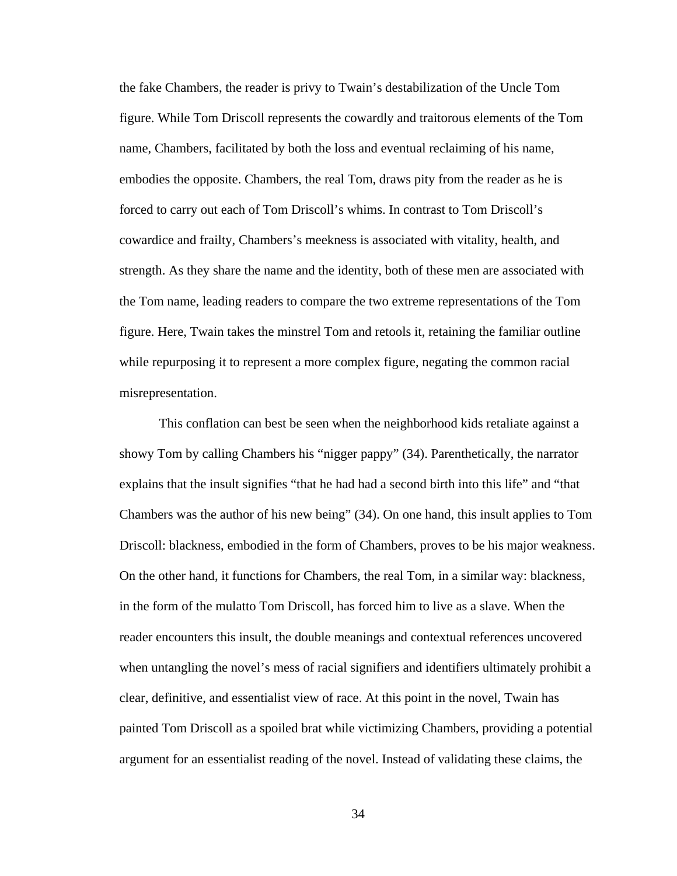the fake Chambers, the reader is privy to Twain's destabilization of the Uncle Tom figure. While Tom Driscoll represents the cowardly and traitorous elements of the Tom name, Chambers, facilitated by both the loss and eventual reclaiming of his name, embodies the opposite. Chambers, the real Tom, draws pity from the reader as he is forced to carry out each of Tom Driscoll's whims. In contrast to Tom Driscoll's cowardice and frailty, Chambers's meekness is associated with vitality, health, and strength. As they share the name and the identity, both of these men are associated with the Tom name, leading readers to compare the two extreme representations of the Tom figure. Here, Twain takes the minstrel Tom and retools it, retaining the familiar outline while repurposing it to represent a more complex figure, negating the common racial misrepresentation.

This conflation can best be seen when the neighborhood kids retaliate against a showy Tom by calling Chambers his "nigger pappy" (34). Parenthetically, the narrator explains that the insult signifies "that he had had a second birth into this life" and "that Chambers was the author of his new being" (34). On one hand, this insult applies to Tom Driscoll: blackness, embodied in the form of Chambers, proves to be his major weakness. On the other hand, it functions for Chambers, the real Tom, in a similar way: blackness, in the form of the mulatto Tom Driscoll, has forced him to live as a slave. When the reader encounters this insult, the double meanings and contextual references uncovered when untangling the novel's mess of racial signifiers and identifiers ultimately prohibit a clear, definitive, and essentialist view of race. At this point in the novel, Twain has painted Tom Driscoll as a spoiled brat while victimizing Chambers, providing a potential argument for an essentialist reading of the novel. Instead of validating these claims, the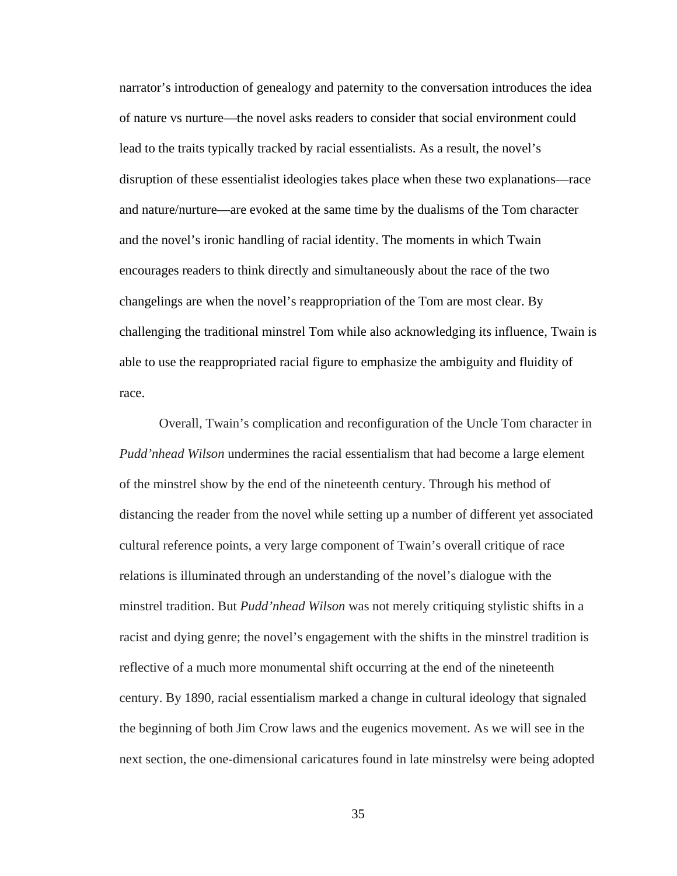narrator's introduction of genealogy and paternity to the conversation introduces the idea of nature vs nurture—the novel asks readers to consider that social environment could lead to the traits typically tracked by racial essentialists. As a result, the novel's disruption of these essentialist ideologies takes place when these two explanations—race and nature/nurture—are evoked at the same time by the dualisms of the Tom character and the novel's ironic handling of racial identity. The moments in which Twain encourages readers to think directly and simultaneously about the race of the two changelings are when the novel's reappropriation of the Tom are most clear. By challenging the traditional minstrel Tom while also acknowledging its influence, Twain is able to use the reappropriated racial figure to emphasize the ambiguity and fluidity of race.

Overall, Twain's complication and reconfiguration of the Uncle Tom character in *Pudd'nhead Wilson* undermines the racial essentialism that had become a large element of the minstrel show by the end of the nineteenth century. Through his method of distancing the reader from the novel while setting up a number of different yet associated cultural reference points, a very large component of Twain's overall critique of race relations is illuminated through an understanding of the novel's dialogue with the minstrel tradition. But *Pudd'nhead Wilson* was not merely critiquing stylistic shifts in a racist and dying genre; the novel's engagement with the shifts in the minstrel tradition is reflective of a much more monumental shift occurring at the end of the nineteenth century. By 1890, racial essentialism marked a change in cultural ideology that signaled the beginning of both Jim Crow laws and the eugenics movement. As we will see in the next section, the one-dimensional caricatures found in late minstrelsy were being adopted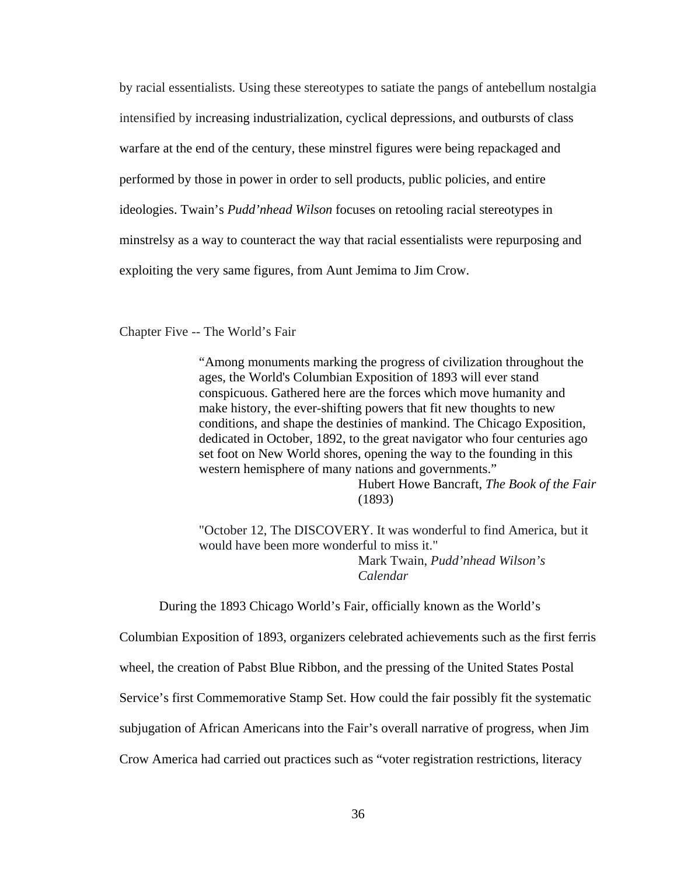by racial essentialists. Using these stereotypes to satiate the pangs of antebellum nostalgia intensified by increasing industrialization, cyclical depressions, and outbursts of class warfare at the end of the century, these minstrel figures were being repackaged and performed by those in power in order to sell products, public policies, and entire ideologies. Twain's *Pudd'nhead Wilson* focuses on retooling racial stereotypes in minstrelsy as a way to counteract the way that racial essentialists were repurposing and exploiting the very same figures, from Aunt Jemima to Jim Crow.

Chapter Five -- The World's Fair

"Among monuments marking the progress of civilization throughout the ages, the World's Columbian Exposition of 1893 will ever stand conspicuous. Gathered here are the forces which move humanity and make history, the ever-shifting powers that fit new thoughts to new conditions, and shape the destinies of mankind. The Chicago Exposition, dedicated in October, 1892, to the great navigator who four centuries ago set foot on New World shores, opening the way to the founding in this western hemisphere of many nations and governments."

> Hubert Howe Bancraft, *The Book of the Fair*  (1893)

"October 12, The DISCOVERY. It was wonderful to find America, but it would have been more wonderful to miss it." Mark Twain, *Pudd'nhead Wilson's* 

*Calendar*

During the 1893 Chicago World's Fair, officially known as the World's

Columbian Exposition of 1893, organizers celebrated achievements such as the first ferris

wheel, the creation of Pabst Blue Ribbon, and the pressing of the United States Postal

Service's first Commemorative Stamp Set. How could the fair possibly fit the systematic

subjugation of African Americans into the Fair's overall narrative of progress, when Jim

Crow America had carried out practices such as "voter registration restrictions, literacy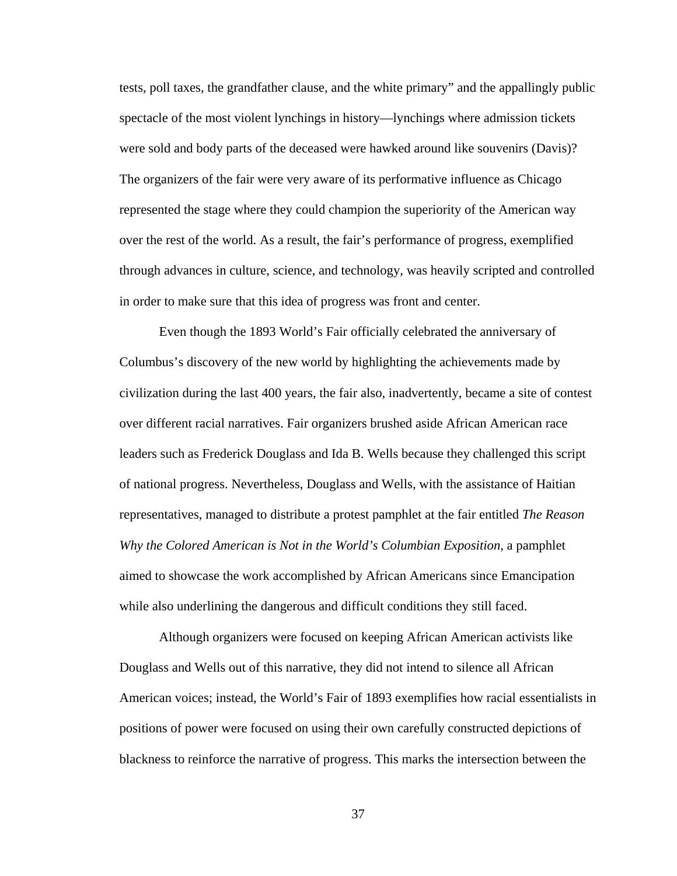tests, poll taxes, the grandfather clause, and the white primary" and the appallingly public spectacle of the most violent lynchings in history—lynchings where admission tickets were sold and body parts of the deceased were hawked around like souvenirs (Davis)? The organizers of the fair were very aware of its performative influence as Chicago represented the stage where they could champion the superiority of the American way over the rest of the world. As a result, the fair's performance of progress, exemplified through advances in culture, science, and technology, was heavily scripted and controlled in order to make sure that this idea of progress was front and center.

Even though the 1893 World's Fair officially celebrated the anniversary of Columbus's discovery of the new world by highlighting the achievements made by civilization during the last 400 years, the fair also, inadvertently, became a site of contest over different racial narratives. Fair organizers brushed aside African American race leaders such as Frederick Douglass and Ida B. Wells because they challenged this script of national progress. Nevertheless, Douglass and Wells, with the assistance of Haitian representatives, managed to distribute a protest pamphlet at the fair entitled *The Reason Why the Colored American is Not in the World's Columbian Exposition*, a pamphlet aimed to showcase the work accomplished by African Americans since Emancipation while also underlining the dangerous and difficult conditions they still faced.

Although organizers were focused on keeping African American activists like Douglass and Wells out of this narrative, they did not intend to silence all African American voices; instead, the World's Fair of 1893 exemplifies how racial essentialists in positions of power were focused on using their own carefully constructed depictions of blackness to reinforce the narrative of progress. This marks the intersection between the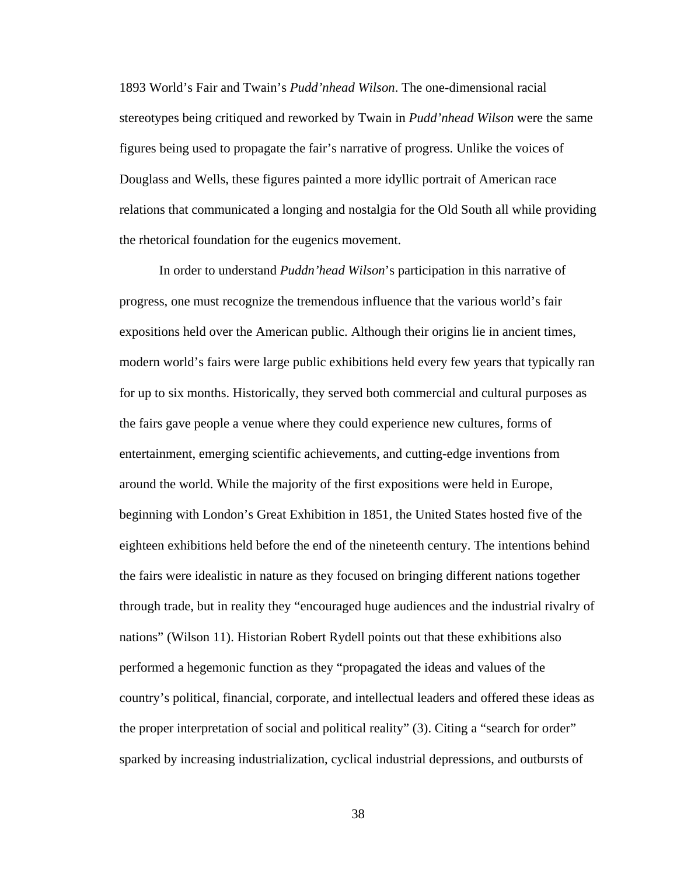1893 World's Fair and Twain's *Pudd'nhead Wilson*. The one-dimensional racial stereotypes being critiqued and reworked by Twain in *Pudd'nhead Wilson* were the same figures being used to propagate the fair's narrative of progress. Unlike the voices of Douglass and Wells, these figures painted a more idyllic portrait of American race relations that communicated a longing and nostalgia for the Old South all while providing the rhetorical foundation for the eugenics movement.

In order to understand *Puddn'head Wilson*'s participation in this narrative of progress, one must recognize the tremendous influence that the various world's fair expositions held over the American public. Although their origins lie in ancient times, modern world's fairs were large public exhibitions held every few years that typically ran for up to six months. Historically, they served both commercial and cultural purposes as the fairs gave people a venue where they could experience new cultures, forms of entertainment, emerging scientific achievements, and cutting-edge inventions from around the world. While the majority of the first expositions were held in Europe, beginning with London's Great Exhibition in 1851, the United States hosted five of the eighteen exhibitions held before the end of the nineteenth century. The intentions behind the fairs were idealistic in nature as they focused on bringing different nations together through trade, but in reality they "encouraged huge audiences and the industrial rivalry of nations" (Wilson 11). Historian Robert Rydell points out that these exhibitions also performed a hegemonic function as they "propagated the ideas and values of the country's political, financial, corporate, and intellectual leaders and offered these ideas as the proper interpretation of social and political reality" (3). Citing a "search for order" sparked by increasing industrialization, cyclical industrial depressions, and outbursts of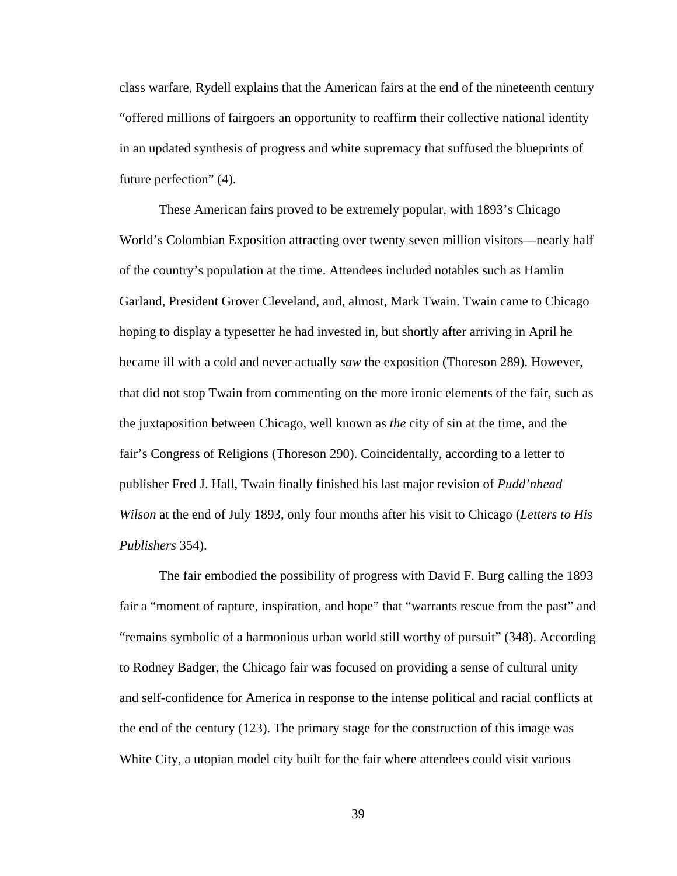class warfare, Rydell explains that the American fairs at the end of the nineteenth century "offered millions of fairgoers an opportunity to reaffirm their collective national identity in an updated synthesis of progress and white supremacy that suffused the blueprints of future perfection" (4).

These American fairs proved to be extremely popular, with 1893's Chicago World's Colombian Exposition attracting over twenty seven million visitors—nearly half of the country's population at the time. Attendees included notables such as Hamlin Garland, President Grover Cleveland, and, almost, Mark Twain. Twain came to Chicago hoping to display a typesetter he had invested in, but shortly after arriving in April he became ill with a cold and never actually *saw* the exposition (Thoreson 289). However, that did not stop Twain from commenting on the more ironic elements of the fair, such as the juxtaposition between Chicago, well known as *the* city of sin at the time, and the fair's Congress of Religions (Thoreson 290). Coincidentally, according to a letter to publisher Fred J. Hall, Twain finally finished his last major revision of *Pudd'nhead Wilson* at the end of July 1893, only four months after his visit to Chicago (*Letters to His Publishers* 354).

The fair embodied the possibility of progress with David F. Burg calling the 1893 fair a "moment of rapture, inspiration, and hope" that "warrants rescue from the past" and "remains symbolic of a harmonious urban world still worthy of pursuit" (348). According to Rodney Badger, the Chicago fair was focused on providing a sense of cultural unity and self-confidence for America in response to the intense political and racial conflicts at the end of the century (123). The primary stage for the construction of this image was White City, a utopian model city built for the fair where attendees could visit various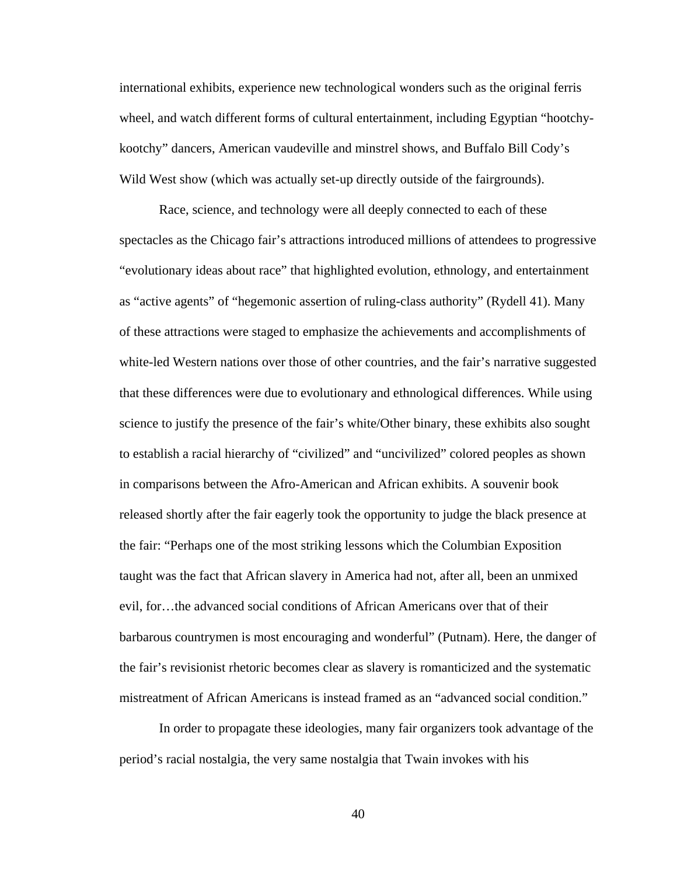international exhibits, experience new technological wonders such as the original ferris wheel, and watch different forms of cultural entertainment, including Egyptian "hootchykootchy" dancers, American vaudeville and minstrel shows, and Buffalo Bill Cody's Wild West show (which was actually set-up directly outside of the fairgrounds).

Race, science, and technology were all deeply connected to each of these spectacles as the Chicago fair's attractions introduced millions of attendees to progressive "evolutionary ideas about race" that highlighted evolution, ethnology, and entertainment as "active agents" of "hegemonic assertion of ruling-class authority" (Rydell 41). Many of these attractions were staged to emphasize the achievements and accomplishments of white-led Western nations over those of other countries, and the fair's narrative suggested that these differences were due to evolutionary and ethnological differences. While using science to justify the presence of the fair's white/Other binary, these exhibits also sought to establish a racial hierarchy of "civilized" and "uncivilized" colored peoples as shown in comparisons between the Afro-American and African exhibits. A souvenir book released shortly after the fair eagerly took the opportunity to judge the black presence at the fair: "Perhaps one of the most striking lessons which the Columbian Exposition taught was the fact that African slavery in America had not, after all, been an unmixed evil, for…the advanced social conditions of African Americans over that of their barbarous countrymen is most encouraging and wonderful" (Putnam). Here, the danger of the fair's revisionist rhetoric becomes clear as slavery is romanticized and the systematic mistreatment of African Americans is instead framed as an "advanced social condition."

In order to propagate these ideologies, many fair organizers took advantage of the period's racial nostalgia, the very same nostalgia that Twain invokes with his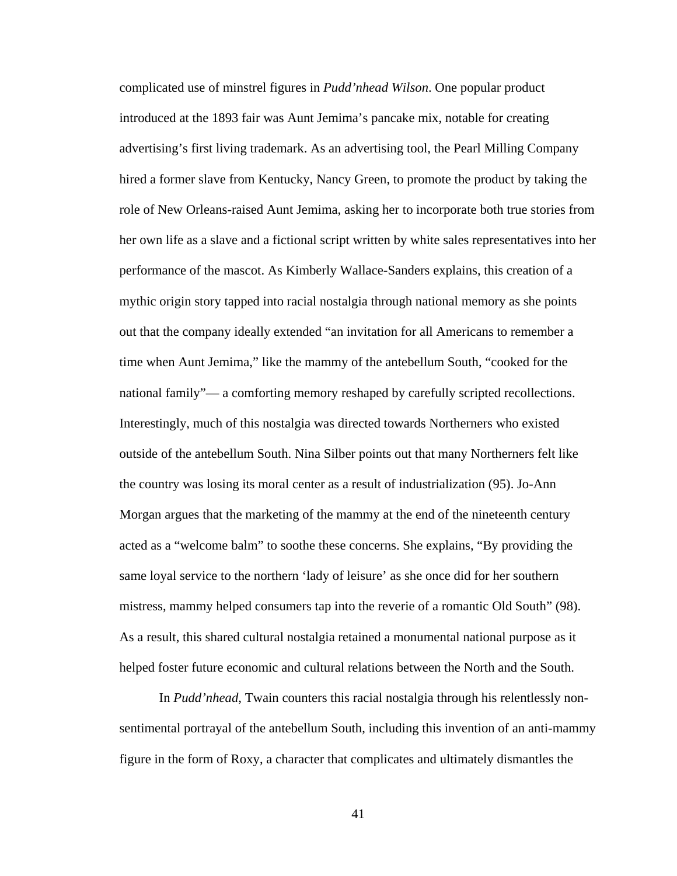complicated use of minstrel figures in *Pudd'nhead Wilson*. One popular product introduced at the 1893 fair was Aunt Jemima's pancake mix, notable for creating advertising's first living trademark. As an advertising tool, the Pearl Milling Company hired a former slave from Kentucky, Nancy Green, to promote the product by taking the role of New Orleans-raised Aunt Jemima, asking her to incorporate both true stories from her own life as a slave and a fictional script written by white sales representatives into her performance of the mascot. As Kimberly Wallace-Sanders explains, this creation of a mythic origin story tapped into racial nostalgia through national memory as she points out that the company ideally extended "an invitation for all Americans to remember a time when Aunt Jemima," like the mammy of the antebellum South, "cooked for the national family"— a comforting memory reshaped by carefully scripted recollections. Interestingly, much of this nostalgia was directed towards Northerners who existed outside of the antebellum South. Nina Silber points out that many Northerners felt like the country was losing its moral center as a result of industrialization (95). Jo-Ann Morgan argues that the marketing of the mammy at the end of the nineteenth century acted as a "welcome balm" to soothe these concerns. She explains, "By providing the same loyal service to the northern 'lady of leisure' as she once did for her southern mistress, mammy helped consumers tap into the reverie of a romantic Old South" (98). As a result, this shared cultural nostalgia retained a monumental national purpose as it helped foster future economic and cultural relations between the North and the South.

In *Pudd'nhead*, Twain counters this racial nostalgia through his relentlessly nonsentimental portrayal of the antebellum South, including this invention of an anti-mammy figure in the form of Roxy, a character that complicates and ultimately dismantles the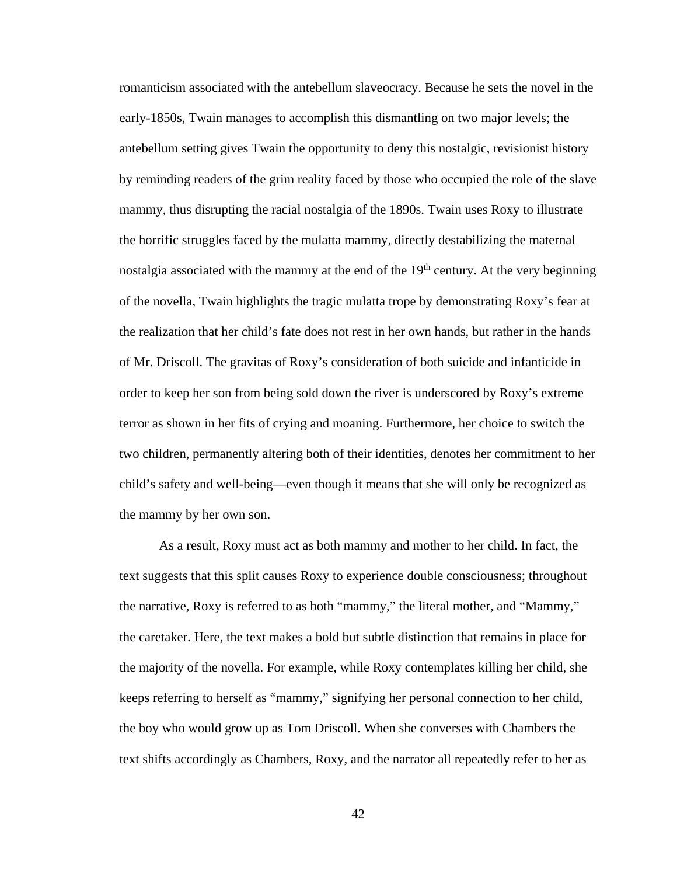romanticism associated with the antebellum slaveocracy. Because he sets the novel in the early-1850s, Twain manages to accomplish this dismantling on two major levels; the antebellum setting gives Twain the opportunity to deny this nostalgic, revisionist history by reminding readers of the grim reality faced by those who occupied the role of the slave mammy, thus disrupting the racial nostalgia of the 1890s. Twain uses Roxy to illustrate the horrific struggles faced by the mulatta mammy, directly destabilizing the maternal nostalgia associated with the mammy at the end of the  $19<sup>th</sup>$  century. At the very beginning of the novella, Twain highlights the tragic mulatta trope by demonstrating Roxy's fear at the realization that her child's fate does not rest in her own hands, but rather in the hands of Mr. Driscoll. The gravitas of Roxy's consideration of both suicide and infanticide in order to keep her son from being sold down the river is underscored by Roxy's extreme terror as shown in her fits of crying and moaning. Furthermore, her choice to switch the two children, permanently altering both of their identities, denotes her commitment to her child's safety and well-being—even though it means that she will only be recognized as the mammy by her own son.

As a result, Roxy must act as both mammy and mother to her child. In fact, the text suggests that this split causes Roxy to experience double consciousness; throughout the narrative, Roxy is referred to as both "mammy," the literal mother, and "Mammy," the caretaker. Here, the text makes a bold but subtle distinction that remains in place for the majority of the novella. For example, while Roxy contemplates killing her child, she keeps referring to herself as "mammy," signifying her personal connection to her child, the boy who would grow up as Tom Driscoll. When she converses with Chambers the text shifts accordingly as Chambers, Roxy, and the narrator all repeatedly refer to her as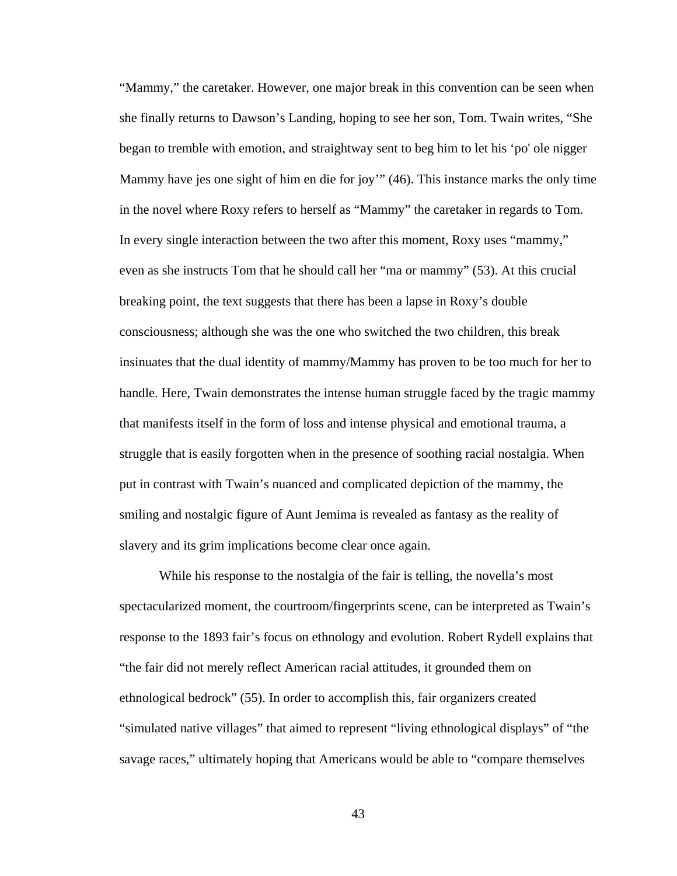"Mammy," the caretaker. However, one major break in this convention can be seen when she finally returns to Dawson's Landing, hoping to see her son, Tom. Twain writes, "She began to tremble with emotion, and straightway sent to beg him to let his 'po' ole nigger Mammy have jes one sight of him en die for joy'" (46). This instance marks the only time in the novel where Roxy refers to herself as "Mammy" the caretaker in regards to Tom. In every single interaction between the two after this moment, Roxy uses "mammy," even as she instructs Tom that he should call her "ma or mammy" (53). At this crucial breaking point, the text suggests that there has been a lapse in Roxy's double consciousness; although she was the one who switched the two children, this break insinuates that the dual identity of mammy/Mammy has proven to be too much for her to handle. Here, Twain demonstrates the intense human struggle faced by the tragic mammy that manifests itself in the form of loss and intense physical and emotional trauma, a struggle that is easily forgotten when in the presence of soothing racial nostalgia. When put in contrast with Twain's nuanced and complicated depiction of the mammy, the smiling and nostalgic figure of Aunt Jemima is revealed as fantasy as the reality of slavery and its grim implications become clear once again.

While his response to the nostalgia of the fair is telling, the novella's most spectacularized moment, the courtroom/fingerprints scene, can be interpreted as Twain's response to the 1893 fair's focus on ethnology and evolution. Robert Rydell explains that "the fair did not merely reflect American racial attitudes, it grounded them on ethnological bedrock" (55). In order to accomplish this, fair organizers created "simulated native villages" that aimed to represent "living ethnological displays" of "the savage races," ultimately hoping that Americans would be able to "compare themselves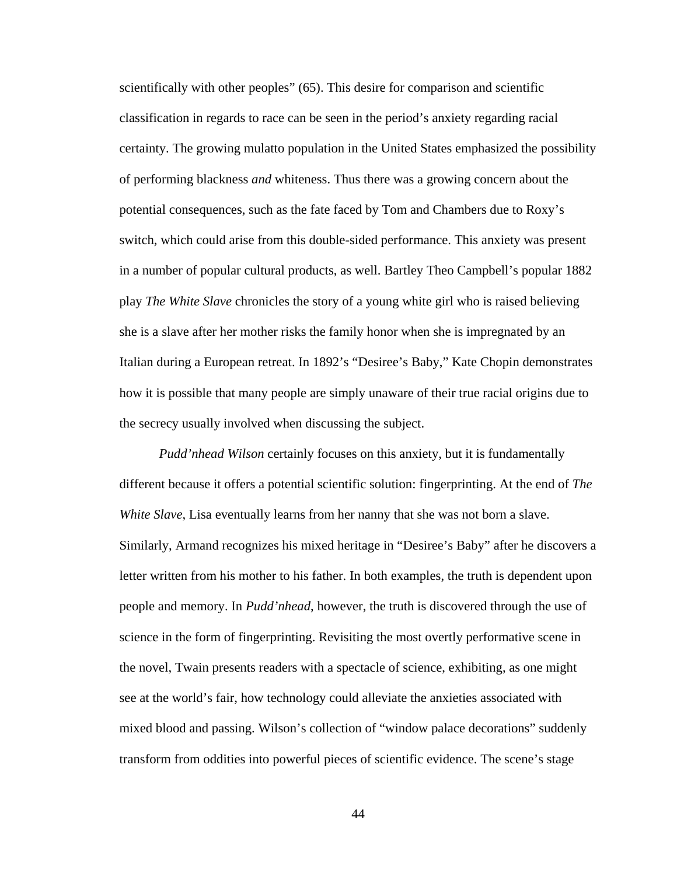scientifically with other peoples" (65). This desire for comparison and scientific classification in regards to race can be seen in the period's anxiety regarding racial certainty. The growing mulatto population in the United States emphasized the possibility of performing blackness *and* whiteness. Thus there was a growing concern about the potential consequences, such as the fate faced by Tom and Chambers due to Roxy's switch, which could arise from this double-sided performance. This anxiety was present in a number of popular cultural products, as well. Bartley Theo Campbell's popular 1882 play *The White Slave* chronicles the story of a young white girl who is raised believing she is a slave after her mother risks the family honor when she is impregnated by an Italian during a European retreat. In 1892's "Desiree's Baby," Kate Chopin demonstrates how it is possible that many people are simply unaware of their true racial origins due to the secrecy usually involved when discussing the subject.

*Pudd'nhead Wilson* certainly focuses on this anxiety, but it is fundamentally different because it offers a potential scientific solution: fingerprinting. At the end of *The White Slave*, Lisa eventually learns from her nanny that she was not born a slave. Similarly, Armand recognizes his mixed heritage in "Desiree's Baby" after he discovers a letter written from his mother to his father. In both examples, the truth is dependent upon people and memory. In *Pudd'nhead*, however, the truth is discovered through the use of science in the form of fingerprinting. Revisiting the most overtly performative scene in the novel, Twain presents readers with a spectacle of science, exhibiting, as one might see at the world's fair, how technology could alleviate the anxieties associated with mixed blood and passing. Wilson's collection of "window palace decorations" suddenly transform from oddities into powerful pieces of scientific evidence. The scene's stage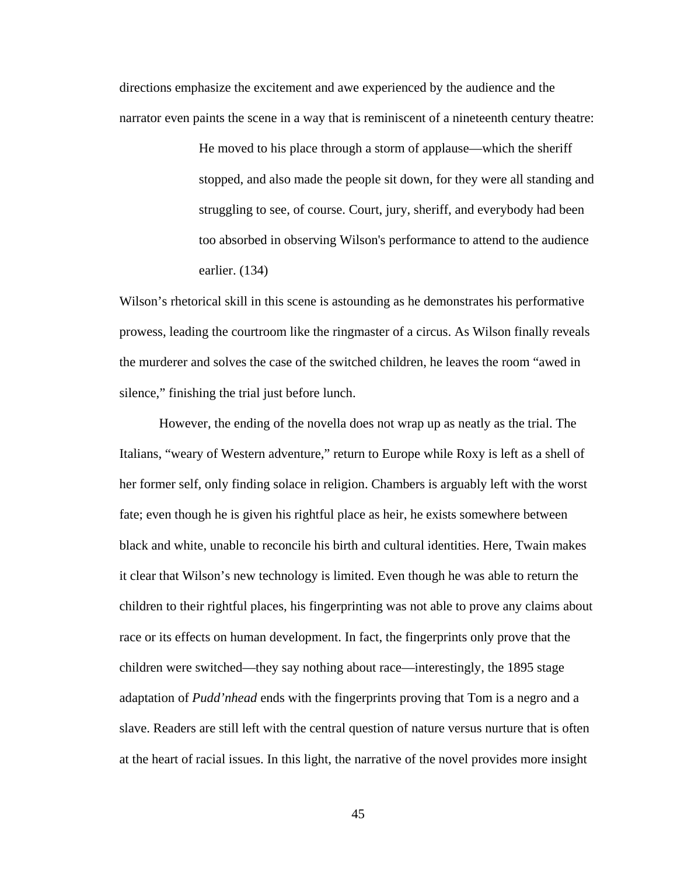directions emphasize the excitement and awe experienced by the audience and the narrator even paints the scene in a way that is reminiscent of a nineteenth century theatre:

> He moved to his place through a storm of applause—which the sheriff stopped, and also made the people sit down, for they were all standing and struggling to see, of course. Court, jury, sheriff, and everybody had been too absorbed in observing Wilson's performance to attend to the audience earlier. (134)

Wilson's rhetorical skill in this scene is astounding as he demonstrates his performative prowess, leading the courtroom like the ringmaster of a circus. As Wilson finally reveals the murderer and solves the case of the switched children, he leaves the room "awed in silence," finishing the trial just before lunch.

However, the ending of the novella does not wrap up as neatly as the trial. The Italians, "weary of Western adventure," return to Europe while Roxy is left as a shell of her former self, only finding solace in religion. Chambers is arguably left with the worst fate; even though he is given his rightful place as heir, he exists somewhere between black and white, unable to reconcile his birth and cultural identities. Here, Twain makes it clear that Wilson's new technology is limited. Even though he was able to return the children to their rightful places, his fingerprinting was not able to prove any claims about race or its effects on human development. In fact, the fingerprints only prove that the children were switched—they say nothing about race—interestingly, the 1895 stage adaptation of *Pudd'nhead* ends with the fingerprints proving that Tom is a negro and a slave. Readers are still left with the central question of nature versus nurture that is often at the heart of racial issues. In this light, the narrative of the novel provides more insight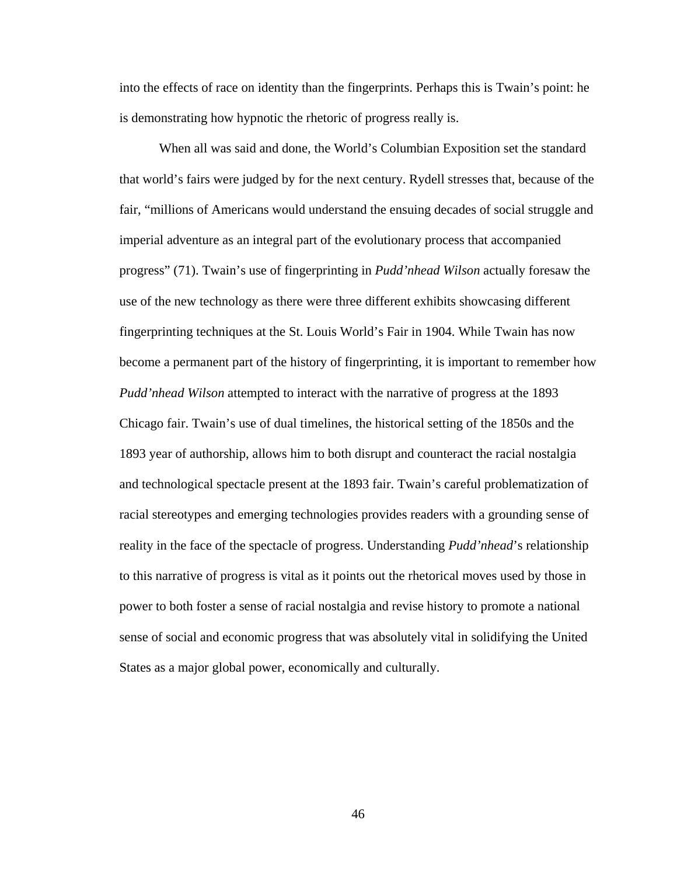into the effects of race on identity than the fingerprints. Perhaps this is Twain's point: he is demonstrating how hypnotic the rhetoric of progress really is.

When all was said and done, the World's Columbian Exposition set the standard that world's fairs were judged by for the next century. Rydell stresses that, because of the fair, "millions of Americans would understand the ensuing decades of social struggle and imperial adventure as an integral part of the evolutionary process that accompanied progress" (71). Twain's use of fingerprinting in *Pudd'nhead Wilson* actually foresaw the use of the new technology as there were three different exhibits showcasing different fingerprinting techniques at the St. Louis World's Fair in 1904. While Twain has now become a permanent part of the history of fingerprinting, it is important to remember how *Pudd'nhead Wilson* attempted to interact with the narrative of progress at the 1893 Chicago fair. Twain's use of dual timelines, the historical setting of the 1850s and the 1893 year of authorship, allows him to both disrupt and counteract the racial nostalgia and technological spectacle present at the 1893 fair. Twain's careful problematization of racial stereotypes and emerging technologies provides readers with a grounding sense of reality in the face of the spectacle of progress. Understanding *Pudd'nhead*'s relationship to this narrative of progress is vital as it points out the rhetorical moves used by those in power to both foster a sense of racial nostalgia and revise history to promote a national sense of social and economic progress that was absolutely vital in solidifying the United States as a major global power, economically and culturally.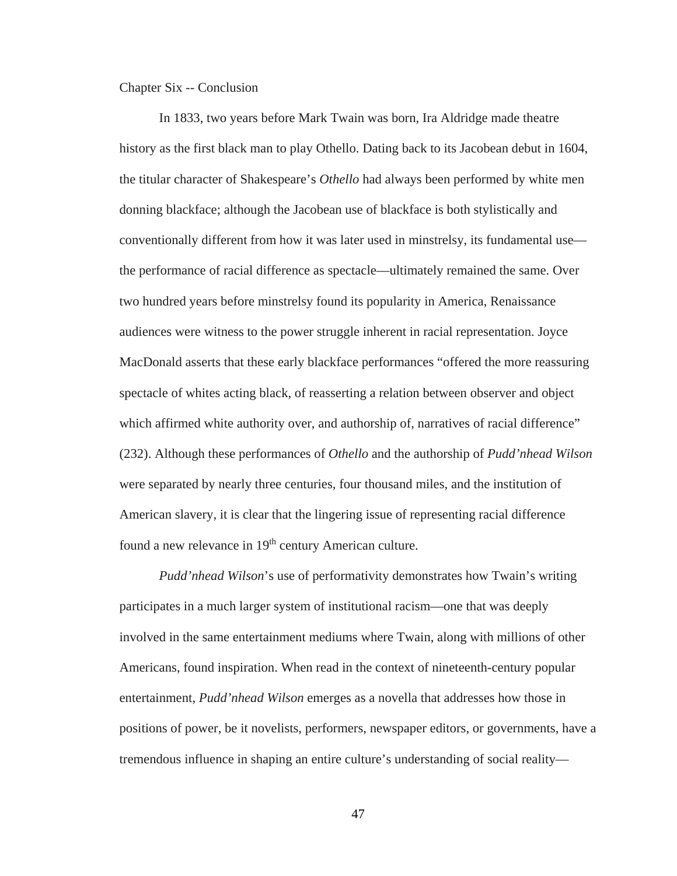Chapter Six -- Conclusion

In 1833, two years before Mark Twain was born, Ira Aldridge made theatre history as the first black man to play Othello. Dating back to its Jacobean debut in 1604, the titular character of Shakespeare's *Othello* had always been performed by white men donning blackface; although the Jacobean use of blackface is both stylistically and conventionally different from how it was later used in minstrelsy, its fundamental use the performance of racial difference as spectacle—ultimately remained the same. Over two hundred years before minstrelsy found its popularity in America, Renaissance audiences were witness to the power struggle inherent in racial representation. Joyce MacDonald asserts that these early blackface performances "offered the more reassuring spectacle of whites acting black, of reasserting a relation between observer and object which affirmed white authority over, and authorship of, narratives of racial difference" (232). Although these performances of *Othello* and the authorship of *Pudd'nhead Wilson*  were separated by nearly three centuries, four thousand miles, and the institution of American slavery, it is clear that the lingering issue of representing racial difference found a new relevance in 19<sup>th</sup> century American culture.

*Pudd'nhead Wilson*'s use of performativity demonstrates how Twain's writing participates in a much larger system of institutional racism—one that was deeply involved in the same entertainment mediums where Twain, along with millions of other Americans, found inspiration. When read in the context of nineteenth-century popular entertainment, *Pudd'nhead Wilson* emerges as a novella that addresses how those in positions of power, be it novelists, performers, newspaper editors, or governments, have a tremendous influence in shaping an entire culture's understanding of social reality—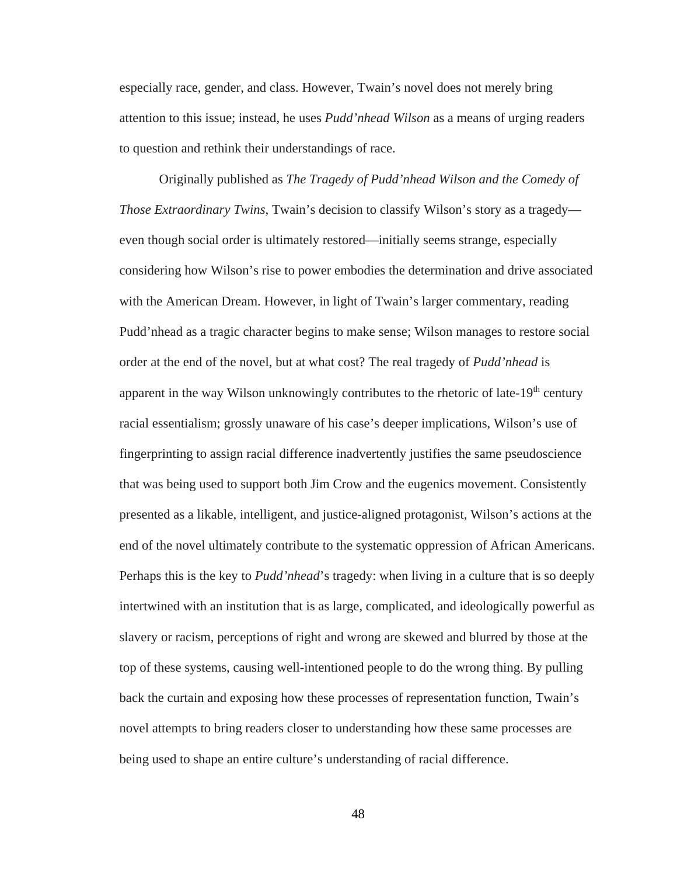especially race, gender, and class. However, Twain's novel does not merely bring attention to this issue; instead, he uses *Pudd'nhead Wilson* as a means of urging readers to question and rethink their understandings of race.

Originally published as *The Tragedy of Pudd'nhead Wilson and the Comedy of Those Extraordinary Twins*, Twain's decision to classify Wilson's story as a tragedy even though social order is ultimately restored—initially seems strange, especially considering how Wilson's rise to power embodies the determination and drive associated with the American Dream. However, in light of Twain's larger commentary, reading Pudd'nhead as a tragic character begins to make sense; Wilson manages to restore social order at the end of the novel, but at what cost? The real tragedy of *Pudd'nhead* is apparent in the way Wilson unknowingly contributes to the rhetoric of late- $19<sup>th</sup>$  century racial essentialism; grossly unaware of his case's deeper implications, Wilson's use of fingerprinting to assign racial difference inadvertently justifies the same pseudoscience that was being used to support both Jim Crow and the eugenics movement. Consistently presented as a likable, intelligent, and justice-aligned protagonist, Wilson's actions at the end of the novel ultimately contribute to the systematic oppression of African Americans. Perhaps this is the key to *Pudd'nhead*'s tragedy: when living in a culture that is so deeply intertwined with an institution that is as large, complicated, and ideologically powerful as slavery or racism, perceptions of right and wrong are skewed and blurred by those at the top of these systems, causing well-intentioned people to do the wrong thing. By pulling back the curtain and exposing how these processes of representation function, Twain's novel attempts to bring readers closer to understanding how these same processes are being used to shape an entire culture's understanding of racial difference.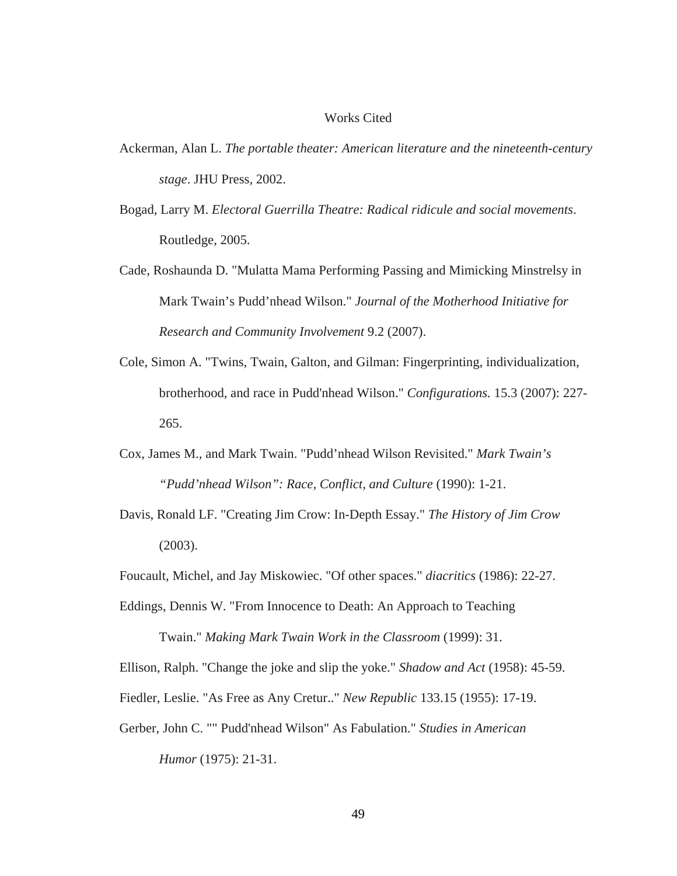#### Works Cited

- Ackerman, Alan L. *The portable theater: American literature and the nineteenth-century stage*. JHU Press, 2002.
- Bogad, Larry M. *Electoral Guerrilla Theatre: Radical ridicule and social movements*. Routledge, 2005.
- Cade, Roshaunda D. "Mulatta Mama Performing Passing and Mimicking Minstrelsy in Mark Twain's Pudd'nhead Wilson." *Journal of the Motherhood Initiative for Research and Community Involvement* 9.2 (2007).
- Cole, Simon A. "Twins, Twain, Galton, and Gilman: Fingerprinting, individualization, brotherhood, and race in Pudd'nhead Wilson." *Configurations.* 15.3 (2007): 227- 265.
- Cox, James M., and Mark Twain. "Pudd'nhead Wilson Revisited." *Mark Twain's "Pudd'nhead Wilson": Race, Conflict, and Culture* (1990): 1-21.
- Davis, Ronald LF. "Creating Jim Crow: In-Depth Essay." *The History of Jim Crow* (2003).

Foucault, Michel, and Jay Miskowiec. "Of other spaces." *diacritics* (1986): 22-27.

Eddings, Dennis W. "From Innocence to Death: An Approach to Teaching

Twain." *Making Mark Twain Work in the Classroom* (1999): 31.

Ellison, Ralph. "Change the joke and slip the yoke." *Shadow and Act* (1958): 45-59.

Fiedler, Leslie. "As Free as Any Cretur.." *New Republic* 133.15 (1955): 17-19.

Gerber, John C. "" Pudd'nhead Wilson" As Fabulation." *Studies in American* 

*Humor* (1975): 21-31.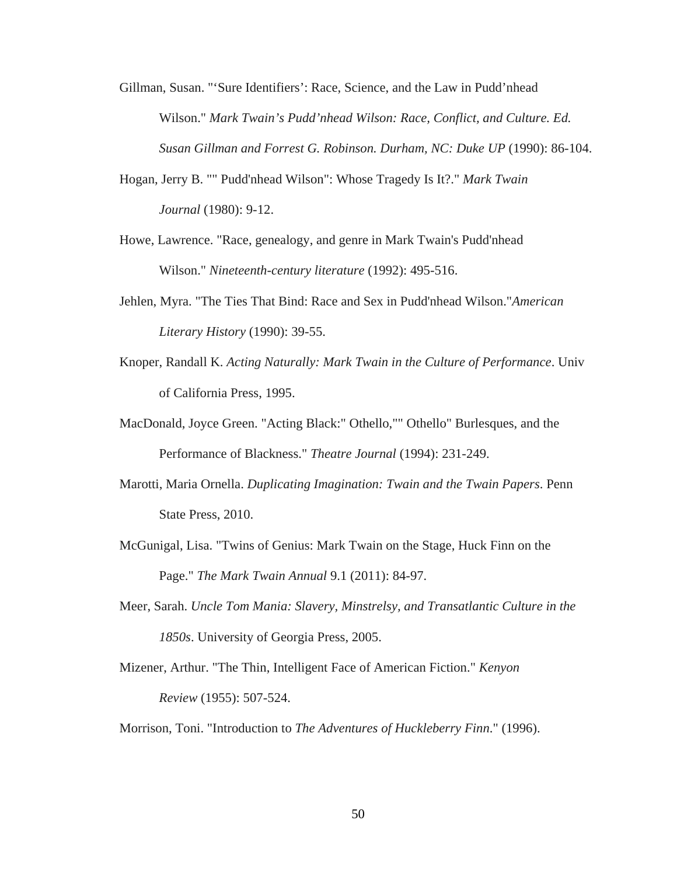- Gillman, Susan. "'Sure Identifiers': Race, Science, and the Law in Pudd'nhead Wilson." *Mark Twain's Pudd'nhead Wilson: Race, Conflict, and Culture. Ed. Susan Gillman and Forrest G. Robinson. Durham, NC: Duke UP* (1990): 86-104.
- Hogan, Jerry B. "" Pudd'nhead Wilson": Whose Tragedy Is It?." *Mark Twain Journal* (1980): 9-12.
- Howe, Lawrence. "Race, genealogy, and genre in Mark Twain's Pudd'nhead Wilson." *Nineteenth-century literature* (1992): 495-516.
- Jehlen, Myra. "The Ties That Bind: Race and Sex in Pudd'nhead Wilson."*American Literary History* (1990): 39-55.
- Knoper, Randall K. *Acting Naturally: Mark Twain in the Culture of Performance*. Univ of California Press, 1995.
- MacDonald, Joyce Green. "Acting Black:" Othello,"" Othello" Burlesques, and the Performance of Blackness." *Theatre Journal* (1994): 231-249.
- Marotti, Maria Ornella. *Duplicating Imagination: Twain and the Twain Papers*. Penn State Press, 2010.
- McGunigal, Lisa. "Twins of Genius: Mark Twain on the Stage, Huck Finn on the Page." *The Mark Twain Annual* 9.1 (2011): 84-97.
- Meer, Sarah. *Uncle Tom Mania: Slavery, Minstrelsy, and Transatlantic Culture in the 1850s*. University of Georgia Press, 2005.
- Mizener, Arthur. "The Thin, Intelligent Face of American Fiction." *Kenyon Review* (1955): 507-524.
- Morrison, Toni. "Introduction to *The Adventures of Huckleberry Finn*." (1996).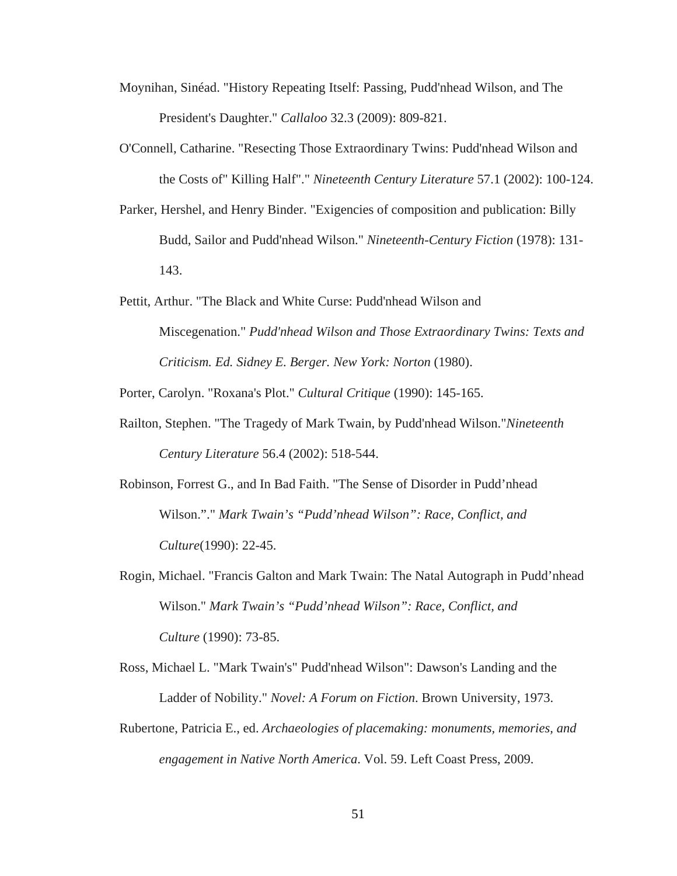- Moynihan, Sinéad. "History Repeating Itself: Passing, Pudd'nhead Wilson, and The President's Daughter." *Callaloo* 32.3 (2009): 809-821.
- O'Connell, Catharine. "Resecting Those Extraordinary Twins: Pudd'nhead Wilson and the Costs of" Killing Half"." *Nineteenth Century Literature* 57.1 (2002): 100-124.
- Parker, Hershel, and Henry Binder. "Exigencies of composition and publication: Billy Budd, Sailor and Pudd'nhead Wilson." *Nineteenth-Century Fiction* (1978): 131- 143.
- Pettit, Arthur. "The Black and White Curse: Pudd'nhead Wilson and Miscegenation." *Pudd'nhead Wilson and Those Extraordinary Twins: Texts and Criticism. Ed. Sidney E. Berger. New York: Norton* (1980).

Porter, Carolyn. "Roxana's Plot." *Cultural Critique* (1990): 145-165.

- Railton, Stephen. "The Tragedy of Mark Twain, by Pudd'nhead Wilson."*Nineteenth Century Literature* 56.4 (2002): 518-544.
- Robinson, Forrest G., and In Bad Faith. "The Sense of Disorder in Pudd'nhead Wilson."." *Mark Twain's "Pudd'nhead Wilson": Race, Conflict, and Culture*(1990): 22-45.
- Rogin, Michael. "Francis Galton and Mark Twain: The Natal Autograph in Pudd'nhead Wilson." *Mark Twain's "Pudd'nhead Wilson": Race, Conflict, and Culture* (1990): 73-85.
- Ross, Michael L. "Mark Twain's" Pudd'nhead Wilson": Dawson's Landing and the Ladder of Nobility." *Novel: A Forum on Fiction*. Brown University, 1973.
- Rubertone, Patricia E., ed. *Archaeologies of placemaking: monuments, memories, and engagement in Native North America*. Vol. 59. Left Coast Press, 2009.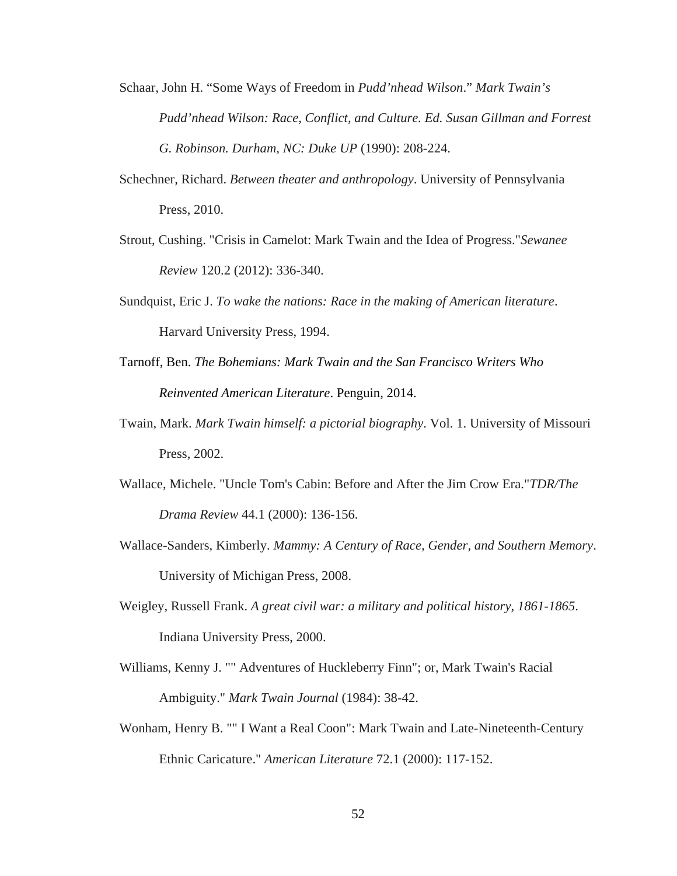- Schaar, John H. "Some Ways of Freedom in *Pudd'nhead Wilson*." *Mark Twain's Pudd'nhead Wilson: Race, Conflict, and Culture. Ed. Susan Gillman and Forrest G. Robinson. Durham, NC: Duke UP* (1990): 208-224.
- Schechner, Richard. *Between theater and anthropology*. University of Pennsylvania Press, 2010.
- Strout, Cushing. "Crisis in Camelot: Mark Twain and the Idea of Progress."*Sewanee Review* 120.2 (2012): 336-340.
- Sundquist, Eric J. *To wake the nations: Race in the making of American literature*. Harvard University Press, 1994.
- Tarnoff, Ben. *The Bohemians: Mark Twain and the San Francisco Writers Who Reinvented American Literature*. Penguin, 2014.
- Twain, Mark. *Mark Twain himself: a pictorial biography*. Vol. 1. University of Missouri Press, 2002.
- Wallace, Michele. "Uncle Tom's Cabin: Before and After the Jim Crow Era."*TDR/The Drama Review* 44.1 (2000): 136-156.
- Wallace-Sanders, Kimberly. *Mammy: A Century of Race, Gender, and Southern Memory*. University of Michigan Press, 2008.
- Weigley, Russell Frank. *A great civil war: a military and political history, 1861-1865*. Indiana University Press, 2000.
- Williams, Kenny J. "" Adventures of Huckleberry Finn"; or, Mark Twain's Racial Ambiguity." *Mark Twain Journal* (1984): 38-42.
- Wonham, Henry B. "" I Want a Real Coon": Mark Twain and Late-Nineteenth-Century Ethnic Caricature." *American Literature* 72.1 (2000): 117-152.